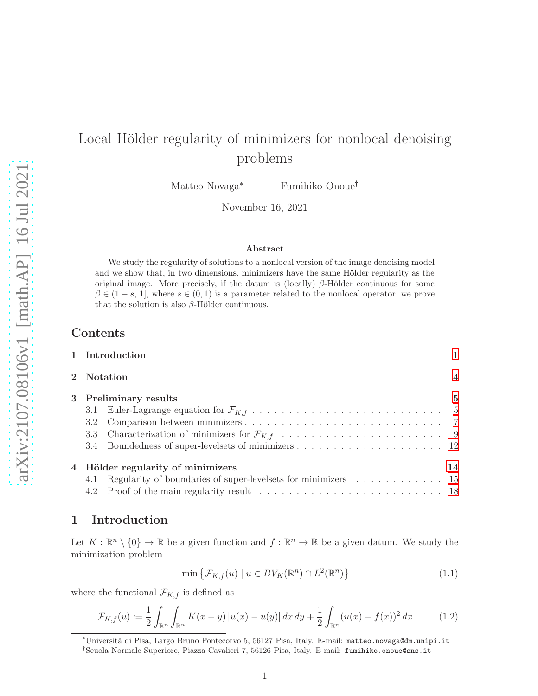# Local Hölder regularity of minimizers for nonlocal denoising problems

Matteo Novaga<sup>∗</sup> Fumihiko Onoue†

November 16, 2021

#### Abstract

We study the regularity of solutions to a nonlocal version of the image denoising model and we show that, in two dimensions, minimizers have the same Hölder regularity as the original image. More precisely, if the datum is (locally)  $\beta$ -Hölder continuous for some  $\beta \in (1-s, 1]$ , where  $s \in (0, 1)$  is a parameter related to the nonlocal operator, we prove that the solution is also  $\beta$ -Hölder continuous.

# Contents

| 1 Introduction                                                    |                         |
|-------------------------------------------------------------------|-------------------------|
| 2 Notation                                                        | $\overline{\mathbf{4}}$ |
| 3 Preliminary results                                             | 5                       |
|                                                                   |                         |
|                                                                   |                         |
|                                                                   |                         |
|                                                                   |                         |
| 4 Hölder regularity of minimizers                                 | 14                      |
| 4.1 Regularity of boundaries of super-levelsets for minimizers 15 |                         |
|                                                                   |                         |

# <span id="page-0-0"></span>1 Introduction

Let  $K: \mathbb{R}^n \setminus \{0\} \to \mathbb{R}$  be a given function and  $f: \mathbb{R}^n \to \mathbb{R}$  be a given datum. We study the minimization problem

<span id="page-0-2"></span>
$$
\min \left\{ \mathcal{F}_{K,f}(u) \mid u \in BV_K(\mathbb{R}^n) \cap L^2(\mathbb{R}^n) \right\} \tag{1.1}
$$

where the functional  $\mathcal{F}_{K,f}$  is defined as

<span id="page-0-1"></span>
$$
\mathcal{F}_{K,f}(u) := \frac{1}{2} \int_{\mathbb{R}^n} \int_{\mathbb{R}^n} K(x - y) |u(x) - u(y)| dx dy + \frac{1}{2} \int_{\mathbb{R}^n} (u(x) - f(x))^2 dx \tag{1.2}
$$

<sup>∗</sup>Università di Pisa, Largo Bruno Pontecorvo 5, 56127 Pisa, Italy. E-mail: matteo.novaga@dm.unipi.it †Scuola Normale Superiore, Piazza Cavalieri 7, 56126 Pisa, Italy. E-mail: fumihiko.onoue@sns.it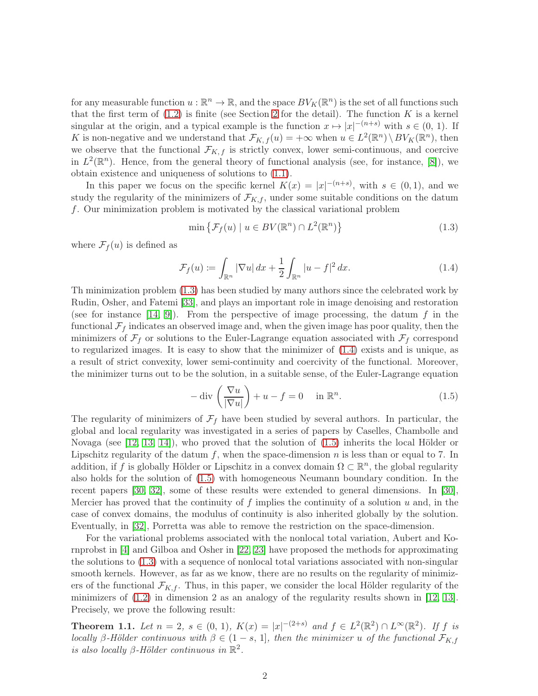for any measurable function  $u : \mathbb{R}^n \to \mathbb{R}$ , and the space  $BV_K(\mathbb{R}^n)$  is the set of all functions such that the first term of  $(1.2)$  is finite (see Section [2](#page-3-0) for the detail). The function K is a kernel singular at the origin, and a typical example is the function  $x \mapsto |x|^{-(n+s)}$  with  $s \in (0, 1)$ . If K is non-negative and we understand that  $\mathcal{F}_{K,f}(u) = +\infty$  when  $u \in L^2(\mathbb{R}^n) \setminus BV_K(\mathbb{R}^n)$ , then we observe that the functional  $\mathcal{F}_{K,f}$  is strictly convex, lower semi-continuous, and coercive in  $L^2(\mathbb{R}^n)$ . Hence, from the general theory of functional analysis (see, for instance, [\[8\]](#page-23-0)), we obtain existence and uniqueness of solutions to [\(1.1\)](#page-0-2).

In this paper we focus on the specific kernel  $K(x) = |x|^{-(n+s)}$ , with  $s \in (0,1)$ , and we study the regularity of the minimizers of  $\mathcal{F}_{K,f}$ , under some suitable conditions on the datum f. Our minimization problem is motivated by the classical variational problem

<span id="page-1-0"></span>
$$
\min \left\{ \mathcal{F}_f(u) \mid u \in BV(\mathbb{R}^n) \cap L^2(\mathbb{R}^n) \right\} \tag{1.3}
$$

where  $\mathcal{F}_f(u)$  is defined as

<span id="page-1-1"></span>
$$
\mathcal{F}_f(u) := \int_{\mathbb{R}^n} |\nabla u| \, dx + \frac{1}{2} \int_{\mathbb{R}^n} |u - f|^2 \, dx. \tag{1.4}
$$

Th minimization problem [\(1.3\)](#page-1-0) has been studied by many authors since the celebrated work by Rudin, Osher, and Fatemi [\[33\]](#page-24-0), and plays an important role in image denoising and restoration (see for instance [\[14,](#page-23-1) [9\]](#page-23-2)). From the perspective of image processing, the datum f in the functional  $\mathcal{F}_f$  indicates an observed image and, when the given image has poor quality, then the minimizers of  $\mathcal{F}_f$  or solutions to the Euler-Lagrange equation associated with  $\mathcal{F}_f$  correspond to regularized images. It is easy to show that the minimizer of [\(1.4\)](#page-1-1) exists and is unique, as a result of strict convexity, lower semi-continuity and coercivity of the functional. Moreover, the minimizer turns out to be the solution, in a suitable sense, of the Euler-Lagrange equation

<span id="page-1-2"></span>
$$
-\operatorname{div}\left(\frac{\nabla u}{|\nabla u|}\right) + u - f = 0 \quad \text{in } \mathbb{R}^n.
$$
 (1.5)

The regularity of minimizers of  $\mathcal{F}_f$  have been studied by several authors. In particular, the global and local regularity was investigated in a series of papers by Caselles, Chambolle and Novaga (see [\[12,](#page-23-3) [13,](#page-23-4) [14\]](#page-23-1)), who proved that the solution of [\(1.5\)](#page-1-2) inherits the local Hölder or Lipschitz regularity of the datum  $f$ , when the space-dimension  $n$  is less than or equal to 7. In addition, if f is globally Hölder or Lipschitz in a convex domain  $\Omega \subset \mathbb{R}^n$ , the global regularity also holds for the solution of [\(1.5\)](#page-1-2) with homogeneous Neumann boundary condition. In the recent papers [\[30,](#page-24-1) [32\]](#page-24-2), some of these results were extended to general dimensions. In [\[30\]](#page-24-1), Mercier has proved that the continuity of  $f$  implies the continuity of a solution  $u$  and, in the case of convex domains, the modulus of continuity is also inherited globally by the solution. Eventually, in [\[32\]](#page-24-2), Porretta was able to remove the restriction on the space-dimension.

For the variational problems associated with the nonlocal total variation, Aubert and Kornprobst in [\[4\]](#page-23-5) and Gilboa and Osher in [\[22,](#page-24-3) [23\]](#page-24-4) have proposed the methods for approximating the solutions to [\(1.3\)](#page-1-0) with a sequence of nonlocal total variations associated with non-singular smooth kernels. However, as far as we know, there are no results on the regularity of minimizers of the functional  $\mathcal{F}_{K,f}$ . Thus, in this paper, we consider the local Hölder regularity of the minimizers of  $(1.2)$  in dimension 2 as an analogy of the regularity results shown in [\[12,](#page-23-3) [13\]](#page-23-4). Precisely, we prove the following result:

<span id="page-1-3"></span>**Theorem 1.1.** Let  $n = 2$ ,  $s \in (0, 1)$ ,  $K(x) = |x|^{-(2+s)}$  and  $f \in L^2(\mathbb{R}^2) \cap L^{\infty}(\mathbb{R}^2)$ . If f is locally β-Hölder continuous with  $\beta \in (1-s, 1]$ , then the minimizer u of the functional  $\mathcal{F}_{K,f}$ is also locally  $\beta$ -Hölder continuous in  $\mathbb{R}^2$ .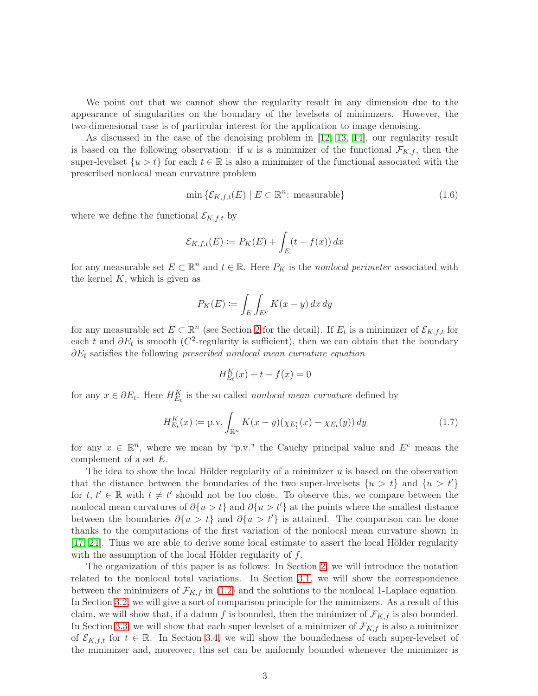We point out that we cannot show the regularity result in any dimension due to the appearance of singularities on the boundary of the levelsets of minimizers. However, the two-dimensional case is of particular interest for the application to image denoising.

As discussed in the case of the denoising problem in [\[12,](#page-23-3) [13,](#page-23-4) [14\]](#page-23-1), our regularity result is based on the following observation: if u is a minimizer of the functional  $\mathcal{F}_{K,f}$ , then the super-levelset  $\{u > t\}$  for each  $t \in \mathbb{R}$  is also a minimizer of the functional associated with the prescribed nonlocal mean curvature problem

$$
\min \{ \mathcal{E}_{K,f,t}(E) \mid E \subset \mathbb{R}^n : \text{measurable} \} \tag{1.6}
$$

where we define the functional  $\mathcal{E}_{K,f,t}$  by

$$
\mathcal{E}_{K,f,t}(E) := P_K(E) + \int_E (t - f(x)) dx
$$

for any measurable set  $E \subset \mathbb{R}^n$  and  $t \in \mathbb{R}$ . Here  $P_K$  is the nonlocal perimeter associated with the kernel  $K$ , which is given as

$$
P_K(E) \coloneqq \int_E \int_{E^c} K(x - y) \, dx \, dy
$$

for any measurable set  $E \subset \mathbb{R}^n$  (see Section [2](#page-3-0) for the detail). If  $E_t$  is a minimizer of  $\mathcal{E}_{K,f,t}$  for each t and  $\partial E_t$  is smooth ( $C^2$ -regularity is sufficient), then we can obtain that the boundary  $\partial E_t$  satisfies the following prescribed nonlocal mean curvature equation

$$
H_{E_t}^K(x) + t - f(x) = 0
$$

for any  $x \in \partial E_t$ . Here  $H_{E_t}^K$  is the so-called *nonlocal mean curvature* defined by

<span id="page-2-0"></span>
$$
H_{E_t}^K(x) := \text{p.v.} \int_{\mathbb{R}^n} K(x - y) (\chi_{E_t^c}(x) - \chi_{E_t}(y)) \, dy \tag{1.7}
$$

for any  $x \in \mathbb{R}^n$ , where we mean by "p.v." the Cauchy principal value and  $E^c$  means the complement of a set E.

The idea to show the local Hölder regularity of a minimizer u is based on the observation that the distance between the boundaries of the two super-levelsets  $\{u > t\}$  and  $\{u > t'\}$ for  $t, t' \in \mathbb{R}$  with  $t \neq t'$  should not be too close. To observe this, we compare between the nonlocal mean curvatures of  $\partial \{u > t\}$  and  $\partial \{u > t'\}$  at the points where the smallest distance between the boundaries  $\partial \{u > t\}$  and  $\partial \{u > t'\}$  is attained. The comparison can be done thanks to the computations of the first variation of the nonlocal mean curvature shown in [\[17,](#page-23-6) [24\]](#page-24-5). Thus we are able to derive some local estimate to assert the local Hölder regularity with the assumption of the local Hölder regularity of f.

The organization of this paper is as follows: In Section [2,](#page-3-0) we will introduce the notation related to the nonlocal total variations. In Section [3.1,](#page-4-1) we will show the correspondence between the minimizers of  $\mathcal{F}_{K,f}$  in [\(1.2\)](#page-0-1) and the solutions to the nonlocal 1-Laplace equation. In Section [3.2,](#page-6-0) we will give a sort of comparison principle for the minimizers. As a result of this claim, we will show that, if a datum f is bounded, then the minimizer of  $\mathcal{F}_{K,f}$  is also bounded. In Section [3.3,](#page-8-0) we will show that each super-level set of a minimizer of  $\mathcal{F}_{K,f}$  is also a minimizer of  $\mathcal{E}_{K,f,t}$  for  $t \in \mathbb{R}$ . In Section [3.4,](#page-11-0) we will show the boundedness of each super-levelset of the minimizer and, moreover, this set can be uniformly bounded whenever the minimizer is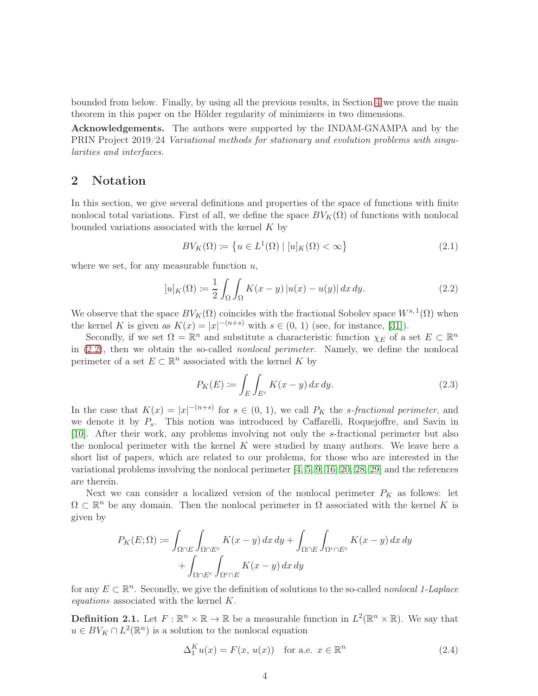bounded from below. Finally, by using all the previous results, in Section [4](#page-13-0) we prove the main theorem in this paper on the Hölder regularity of minimizers in two dimensions.

Acknowledgements. The authors were supported by the INDAM-GNAMPA and by the PRIN Project 2019/24 Variational methods for stationary and evolution problems with singularities and interfaces.

# <span id="page-3-0"></span>2 Notation

In this section, we give several definitions and properties of the space of functions with finite nonlocal total variations. First of all, we define the space  $BV_K(\Omega)$  of functions with nonlocal bounded variations associated with the kernel  $K$  by

$$
BV_K(\Omega) \coloneqq \left\{ u \in L^1(\Omega) \mid [u]_K(\Omega) < \infty \right\} \tag{2.1}
$$

where we set, for any measurable function  $u$ ,

<span id="page-3-1"></span>
$$
[u]_K(\Omega) := \frac{1}{2} \int_{\Omega} \int_{\Omega} K(x - y) |u(x) - u(y)| dx dy.
$$
 (2.2)

We observe that the space  $BV_K(\Omega)$  coincides with the fractional Sobolev space  $W^{s,1}(\Omega)$  when the kernel K is given as  $K(x) = |x|^{-(n+s)}$  with  $s \in (0, 1)$  (see, for instance, [\[31\]](#page-24-6)).

Secondly, if we set  $\Omega = \mathbb{R}^n$  and substitute a characteristic function  $\chi_E$  of a set  $E \subset \mathbb{R}^n$ in  $(2.2)$ , then we obtain the so-called *nonlocal perimeter*. Namely, we define the nonlocal perimeter of a set  $E \subset \mathbb{R}^n$  associated with the kernel K by

$$
P_K(E) := \int_E \int_{E^c} K(x - y) dx dy.
$$
 (2.3)

In the case that  $K(x) = |x|^{-(n+s)}$  for  $s \in (0, 1)$ , we call  $P_K$  the *s*-fractional perimeter, and we denote it by  $P_s$ . This notion was introduced by Caffarelli, Roquejoffre, and Savin in [\[10\]](#page-23-7). After their work, any problems involving not only the s-fractional perimeter but also the nonlocal perimeter with the kernel  $K$  were studied by many authors. We leave here a short list of papers, which are related to our problems, for those who are interested in the variational problems involving the nonlocal perimeter [\[4,](#page-23-5) [5,](#page-23-8) [9,](#page-23-2) [16,](#page-23-9) [20,](#page-24-7) [28,](#page-24-8) [29\]](#page-24-9) and the references are therein.

Next we can consider a localized version of the nonlocal perimeter  $P_K$  as follows: let  $\Omega \subset \mathbb{R}^n$  be any domain. Then the nonlocal perimeter in  $\Omega$  associated with the kernel K is given by

$$
P_K(E; \Omega) := \int_{\Omega \cap E} \int_{\Omega \cap E^c} K(x - y) \, dx \, dy + \int_{\Omega \cap E} \int_{\Omega^c \cap E^c} K(x - y) \, dx \, dy
$$

$$
+ \int_{\Omega \cap E^c} \int_{\Omega^c \cap E} K(x - y) \, dx \, dy
$$

for any  $E \subset \mathbb{R}^n$ . Secondly, we give the definition of solutions to the so-called nonlocal 1-Laplace equations associated with the kernel K.

<span id="page-3-2"></span>**Definition 2.1.** Let  $F: \mathbb{R}^n \times \mathbb{R} \to \mathbb{R}$  be a measurable function in  $L^2(\mathbb{R}^n \times \mathbb{R})$ . We say that  $u \in BV_K \cap L^2(\mathbb{R}^n)$  is a solution to the nonlocal equation

$$
\Delta_1^K u(x) = F(x, u(x)) \quad \text{for a.e. } x \in \mathbb{R}^n \tag{2.4}
$$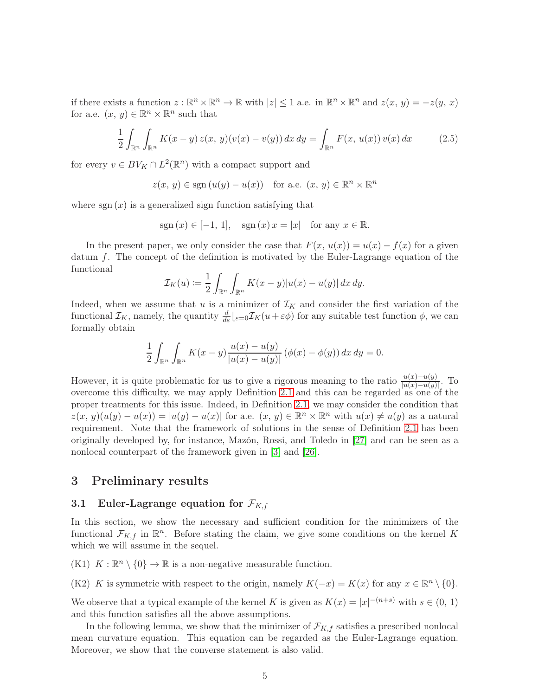if there exists a function  $z : \mathbb{R}^n \times \mathbb{R}^n \to \mathbb{R}$  with  $|z| \leq 1$  a.e. in  $\mathbb{R}^n \times \mathbb{R}^n$  and  $z(x, y) = -z(y, x)$ for a.e.  $(x, y) \in \mathbb{R}^n \times \mathbb{R}^n$  such that

$$
\frac{1}{2} \int_{\mathbb{R}^n} \int_{\mathbb{R}^n} K(x - y) z(x, y) (v(x) - v(y)) dx dy = \int_{\mathbb{R}^n} F(x, u(x)) v(x) dx \tag{2.5}
$$

for every  $v \in BV_K \cap L^2(\mathbb{R}^n)$  with a compact support and

$$
z(x, y) \in \text{sgn}(u(y) - u(x))
$$
 for a.e.  $(x, y) \in \mathbb{R}^n \times \mathbb{R}^n$ 

where  $sgn(x)$  is a generalized sign function satisfying that

$$
sgn(x) \in [-1, 1], \quad sgn(x) \, x = |x| \quad \text{for any } x \in \mathbb{R}.
$$

In the present paper, we only consider the case that  $F(x, u(x)) = u(x) - f(x)$  for a given datum  $f$ . The concept of the definition is motivated by the Euler-Lagrange equation of the functional

$$
\mathcal{I}_K(u) := \frac{1}{2} \int_{\mathbb{R}^n} \int_{\mathbb{R}^n} K(x - y) |u(x) - u(y)| dx dy.
$$

Indeed, when we assume that u is a minimizer of  $\mathcal{I}_K$  and consider the first variation of the functional  $\mathcal{I}_K$ , namely, the quantity  $\frac{d}{d\varepsilon}\left|_{\varepsilon=0}\mathcal{I}_K(u+\varepsilon\phi)\right|$  for any suitable test function  $\phi$ , we can formally obtain

$$
\frac{1}{2} \int_{\mathbb{R}^n} \int_{\mathbb{R}^n} K(x - y) \frac{u(x) - u(y)}{|u(x) - u(y)|} (\phi(x) - \phi(y)) dx dy = 0.
$$

However, it is quite problematic for us to give a rigorous meaning to the ratio  $\frac{u(x)-u(y)}{|u(x)-u(y)|}$ . To overcome this difficulty, we may apply Definition [2.1](#page-3-2) and this can be regarded as one of the proper treatments for this issue. Indeed, in Definition [2.1,](#page-3-2) we may consider the condition that  $z(x, y)(u(y) - u(x)) = |u(y) - u(x)|$  for a.e.  $(x, y) \in \mathbb{R}^n \times \mathbb{R}^n$  with  $u(x) \neq u(y)$  as a natural requirement. Note that the framework of solutions in the sense of Definition [2.1](#page-3-2) has been originally developed by, for instance, Mazón, Rossi, and Toledo in [\[27\]](#page-24-10) and can be seen as a nonlocal counterpart of the framework given in [\[3\]](#page-23-10) and [\[26\]](#page-24-11).

### <span id="page-4-0"></span>3 Preliminary results

### <span id="page-4-1"></span>3.1 Euler-Lagrange equation for  $\mathcal{F}_{K,f}$

In this section, we show the necessary and sufficient condition for the minimizers of the functional  $\mathcal{F}_{K,f}$  in  $\mathbb{R}^n$ . Before stating the claim, we give some conditions on the kernel K which we will assume in the sequel.

(K1)  $K : \mathbb{R}^n \setminus \{0\} \to \mathbb{R}$  is a non-negative measurable function.

(K2) K is symmetric with respect to the origin, namely  $K(-x) = K(x)$  for any  $x \in \mathbb{R}^n \setminus \{0\}.$ 

We observe that a typical example of the kernel K is given as  $K(x) = |x|^{-(n+s)}$  with  $s \in (0, 1)$ and this function satisfies all the above assumptions.

In the following lemma, we show that the minimizer of  $\mathcal{F}_{K,f}$  satisfies a prescribed nonlocal mean curvature equation. This equation can be regarded as the Euler-Lagrange equation. Moreover, we show that the converse statement is also valid.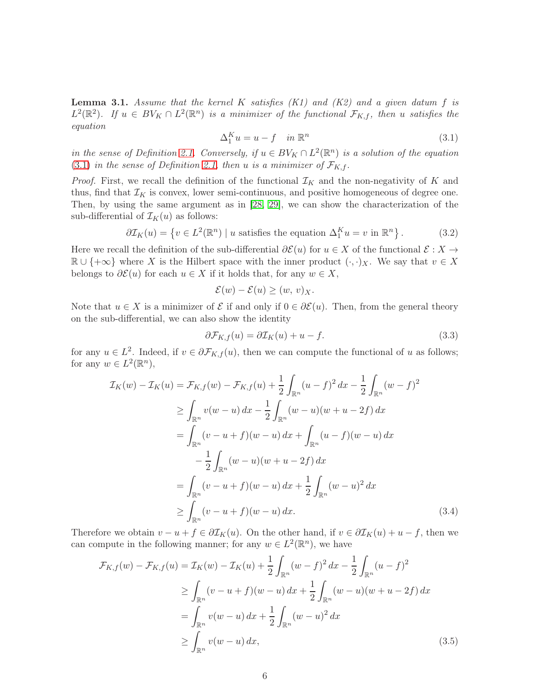<span id="page-5-4"></span>**Lemma 3.1.** Assume that the kernel K satisfies  $(K1)$  and  $(K2)$  and a given datum f is  $L^2(\mathbb{R}^2)$ . If  $u \in BV_K \cap L^2(\mathbb{R}^n)$  is a minimizer of the functional  $\mathcal{F}_{K,f}$ , then u satisfies the equation

<span id="page-5-0"></span>
$$
\Delta_1^K u = u - f \quad in \, \mathbb{R}^n \tag{3.1}
$$

in the sense of Definition [2.1.](#page-3-2) Conversely, if  $u \in BV_K \cap L^2(\mathbb{R}^n)$  is a solution of the equation [\(3.1\)](#page-5-0) in the sense of Definition [2.1,](#page-3-2) then u is a minimizer of  $\mathcal{F}_{K,f}$ .

*Proof.* First, we recall the definition of the functional  $\mathcal{I}_K$  and the non-negativity of K and thus, find that  $\mathcal{I}_K$  is convex, lower semi-continuous, and positive homogeneous of degree one. Then, by using the same argument as in [\[28,](#page-24-8) [29\]](#page-24-9), we can show the characterization of the sub-differential of  $\mathcal{I}_K(u)$  as follows:

$$
\partial \mathcal{I}_K(u) = \left\{ v \in L^2(\mathbb{R}^n) \mid u \text{ satisfies the equation } \Delta_1^K u = v \text{ in } \mathbb{R}^n \right\}. \tag{3.2}
$$

Here we recall the definition of the sub-differential  $\partial \mathcal{E}(u)$  for  $u \in X$  of the functional  $\mathcal{E}: X \to Y$  $\mathbb{R} \cup \{\pm \infty\}$  where X is the Hilbert space with the inner product  $(\cdot, \cdot)_X$ . We say that  $v \in X$ belongs to  $\partial \mathcal{E}(u)$  for each  $u \in X$  if it holds that, for any  $w \in X$ ,

$$
\mathcal{E}(w) - \mathcal{E}(u) \ge (w, v)_X.
$$

Note that  $u \in X$  is a minimizer of  $\mathcal E$  if and only if  $0 \in \partial \mathcal E(u)$ . Then, from the general theory on the sub-differential, we can also show the identity

<span id="page-5-3"></span><span id="page-5-1"></span>
$$
\partial \mathcal{F}_{K,f}(u) = \partial \mathcal{I}_K(u) + u - f. \tag{3.3}
$$

for any  $u \in L^2$ . Indeed, if  $v \in \partial \mathcal{F}_{K,f}(u)$ , then we can compute the functional of u as follows; for any  $w \in L^2(\mathbb{R}^n)$ ,

$$
\mathcal{I}_K(w) - \mathcal{I}_K(u) = \mathcal{F}_{K,f}(w) - \mathcal{F}_{K,f}(u) + \frac{1}{2} \int_{\mathbb{R}^n} (u - f)^2 dx - \frac{1}{2} \int_{\mathbb{R}^n} (w - f)^2
$$
\n
$$
\geq \int_{\mathbb{R}^n} v(w - u) dx - \frac{1}{2} \int_{\mathbb{R}^n} (w - u)(w + u - 2f) dx
$$
\n
$$
= \int_{\mathbb{R}^n} (v - u + f)(w - u) dx + \int_{\mathbb{R}^n} (u - f)(w - u) dx
$$
\n
$$
- \frac{1}{2} \int_{\mathbb{R}^n} (w - u)(w + u - 2f) dx
$$
\n
$$
= \int_{\mathbb{R}^n} (v - u + f)(w - u) dx + \frac{1}{2} \int_{\mathbb{R}^n} (w - u)^2 dx
$$
\n
$$
\geq \int_{\mathbb{R}^n} (v - u + f)(w - u) dx. \tag{3.4}
$$

Therefore we obtain  $v - u + f \in \partial \mathcal{I}_K(u)$ . On the other hand, if  $v \in \partial \mathcal{I}_K(u) + u - f$ , then we can compute in the following manner; for any  $w \in L^2(\mathbb{R}^n)$ , we have

<span id="page-5-2"></span>
$$
\mathcal{F}_{K,f}(w) - \mathcal{F}_{K,f}(u) = \mathcal{I}_K(w) - \mathcal{I}_K(u) + \frac{1}{2} \int_{\mathbb{R}^n} (w - f)^2 dx - \frac{1}{2} \int_{\mathbb{R}^n} (u - f)^2
$$
  
\n
$$
\geq \int_{\mathbb{R}^n} (v - u + f)(w - u) dx + \frac{1}{2} \int_{\mathbb{R}^n} (w - u)(w + u - 2f) dx
$$
  
\n
$$
= \int_{\mathbb{R}^n} v(w - u) dx + \frac{1}{2} \int_{\mathbb{R}^n} (w - u)^2 dx
$$
  
\n
$$
\geq \int_{\mathbb{R}^n} v(w - u) dx,
$$
\n(3.5)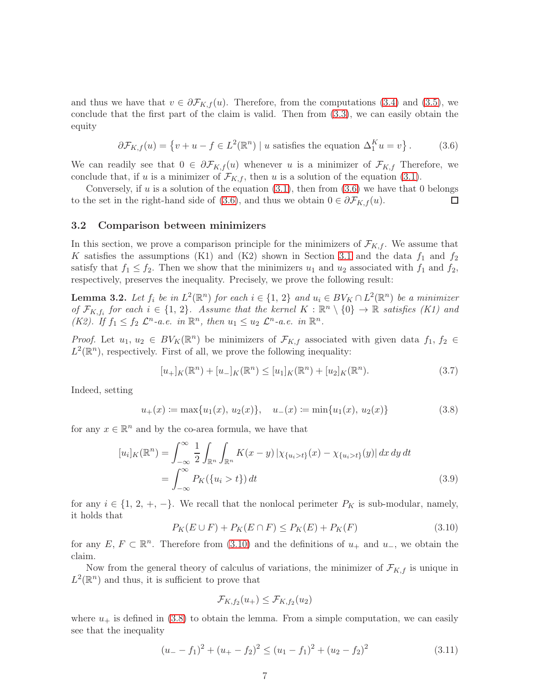and thus we have that  $v \in \partial \mathcal{F}_{K,f}(u)$ . Therefore, from the computations [\(3.4\)](#page-5-1) and [\(3.5\)](#page-5-2), we conclude that the first part of the claim is valid. Then from [\(3.3\)](#page-5-3), we can easily obtain the equity

<span id="page-6-1"></span>
$$
\partial \mathcal{F}_{K,f}(u) = \left\{ v + u - f \in L^2(\mathbb{R}^n) \mid u \text{ satisfies the equation } \Delta_1^K u = v \right\}. \tag{3.6}
$$

We can readily see that  $0 \in \partial \mathcal{F}_{K,f}(u)$  whenever u is a minimizer of  $\mathcal{F}_{K,f}$  Therefore, we conclude that, if u is a minimizer of  $\mathcal{F}_{K,f}$ , then u is a solution of the equation [\(3.1\)](#page-5-0).

Conversely, if  $u$  is a solution of the equation  $(3.1)$ , then from  $(3.6)$  we have that 0 belongs to the set in the right-hand side of [\(3.6\)](#page-6-1), and thus we obtain  $0 \in \partial \mathcal{F}_{K,f}(u)$ .  $\Box$ 

#### <span id="page-6-0"></span>3.2 Comparison between minimizers

In this section, we prove a comparison principle for the minimizers of  $\mathcal{F}_{K,f}$ . We assume that K satisfies the assumptions (K1) and (K2) shown in Section [3.1](#page-4-1) and the data  $f_1$  and  $f_2$ satisfy that  $f_1 \leq f_2$ . Then we show that the minimizers  $u_1$  and  $u_2$  associated with  $f_1$  and  $f_2$ , respectively, preserves the inequality. Precisely, we prove the following result:

<span id="page-6-6"></span>**Lemma 3.2.** Let  $f_i$  be in  $L^2(\mathbb{R}^n)$  for each  $i \in \{1, 2\}$  and  $u_i \in BV_K \cap L^2(\mathbb{R}^n)$  be a minimizer of  $\mathcal{F}_{K,f_i}$  for each  $i \in \{1, 2\}$ . Assume that the kernel  $K : \mathbb{R}^n \setminus \{0\} \to \mathbb{R}$  satisfies (K1) and (K2). If  $f_1 \leq f_2 \mathcal{L}^n$ -a.e. in  $\mathbb{R}^n$ , then  $u_1 \leq u_2 \mathcal{L}^n$ -a.e. in  $\mathbb{R}^n$ .

*Proof.* Let  $u_1, u_2 \in BV_K(\mathbb{R}^n)$  be minimizers of  $\mathcal{F}_{K,f}$  associated with given data  $f_1, f_2 \in$  $L^2(\mathbb{R}^n)$ , respectively. First of all, we prove the following inequality:

<span id="page-6-4"></span>
$$
[u_{+}]_{K}(\mathbb{R}^{n}) + [u_{-}]_{K}(\mathbb{R}^{n}) \leq [u_{1}]_{K}(\mathbb{R}^{n}) + [u_{2}]_{K}(\mathbb{R}^{n}).
$$
\n(3.7)

Indeed, setting

<span id="page-6-3"></span>
$$
u_{+}(x) := \max\{u_{1}(x), u_{2}(x)\}, \quad u_{-}(x) := \min\{u_{1}(x), u_{2}(x)\}\tag{3.8}
$$

for any  $x \in \mathbb{R}^n$  and by the co-area formula, we have that

$$
[u_i]_K(\mathbb{R}^n) = \int_{-\infty}^{\infty} \frac{1}{2} \int_{\mathbb{R}^n} \int_{\mathbb{R}^n} K(x - y) \left| \chi_{\{u_i > t\}}(x) - \chi_{\{u_i > t\}}(y) \right| dx dy dt
$$
  
= 
$$
\int_{-\infty}^{\infty} P_K(\{u_i > t\}) dt
$$
 (3.9)

for any  $i \in \{1, 2, +, -\}$ . We recall that the nonlocal perimeter  $P_K$  is sub-modular, namely, it holds that

<span id="page-6-2"></span>
$$
P_K(E \cup F) + P_K(E \cap F) \le P_K(E) + P_K(F)
$$
\n(3.10)

for any  $E, F \subset \mathbb{R}^n$ . Therefore from [\(3.10\)](#page-6-2) and the definitions of  $u_+$  and  $u_-,$  we obtain the claim.

Now from the general theory of calculus of variations, the minimizer of  $\mathcal{F}_{K,f}$  is unique in  $L^2(\mathbb{R}^n)$  and thus, it is sufficient to prove that

$$
\mathcal{F}_{K, f_2}(u_+) \leq \mathcal{F}_{K, f_2}(u_2)
$$

where  $u_+$  is defined in [\(3.8\)](#page-6-3) to obtain the lemma. From a simple computation, we can easily see that the inequality

<span id="page-6-5"></span>
$$
(u_- - f_1)^2 + (u_+ - f_2)^2 \le (u_1 - f_1)^2 + (u_2 - f_2)^2 \tag{3.11}
$$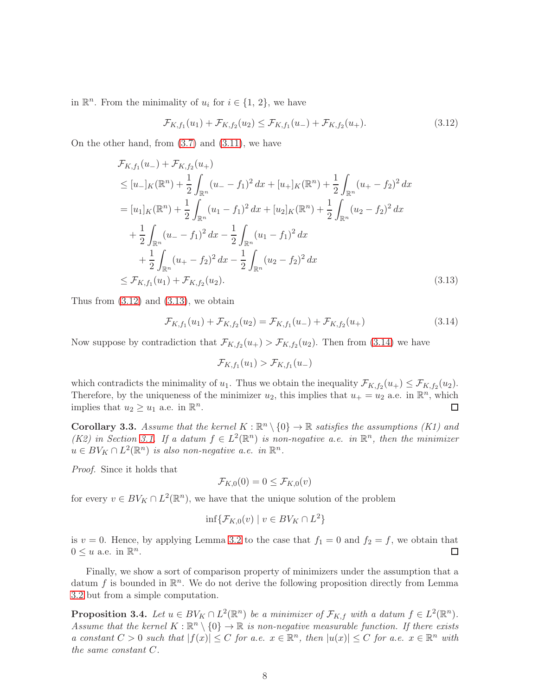in  $\mathbb{R}^n$ . From the minimality of  $u_i$  for  $i \in \{1, 2\}$ , we have

<span id="page-7-0"></span>
$$
\mathcal{F}_{K,f_1}(u_1) + \mathcal{F}_{K,f_2}(u_2) \le \mathcal{F}_{K,f_1}(u_-) + \mathcal{F}_{K,f_2}(u_+).
$$
\n(3.12)

On the other hand, from [\(3.7\)](#page-6-4) and [\(3.11\)](#page-6-5), we have

$$
\mathcal{F}_{K,f_1}(u_-) + \mathcal{F}_{K,f_2}(u_+)
$$
\n
$$
\leq [u_-]_K(\mathbb{R}^n) + \frac{1}{2} \int_{\mathbb{R}^n} (u_- - f_1)^2 dx + [u_+]_K(\mathbb{R}^n) + \frac{1}{2} \int_{\mathbb{R}^n} (u_+ - f_2)^2 dx
$$
\n
$$
= [u_1]_K(\mathbb{R}^n) + \frac{1}{2} \int_{\mathbb{R}^n} (u_1 - f_1)^2 dx + [u_2]_K(\mathbb{R}^n) + \frac{1}{2} \int_{\mathbb{R}^n} (u_2 - f_2)^2 dx
$$
\n
$$
+ \frac{1}{2} \int_{\mathbb{R}^n} (u_- - f_1)^2 dx - \frac{1}{2} \int_{\mathbb{R}^n} (u_1 - f_1)^2 dx
$$
\n
$$
+ \frac{1}{2} \int_{\mathbb{R}^n} (u_+ - f_2)^2 dx - \frac{1}{2} \int_{\mathbb{R}^n} (u_2 - f_2)^2 dx
$$
\n
$$
\leq \mathcal{F}_{K,f_1}(u_1) + \mathcal{F}_{K,f_2}(u_2).
$$
\n(3.13)

Thus from  $(3.12)$  and  $(3.13)$ , we obtain

<span id="page-7-2"></span>
$$
\mathcal{F}_{K,f_1}(u_1) + \mathcal{F}_{K,f_2}(u_2) = \mathcal{F}_{K,f_1}(u_-) + \mathcal{F}_{K,f_2}(u_+) \tag{3.14}
$$

Now suppose by contradiction that  $\mathcal{F}_{K, f_2}(u_+) > \mathcal{F}_{K, f_2}(u_2)$ . Then from [\(3.14\)](#page-7-2) we have

<span id="page-7-1"></span>
$$
\mathcal{F}_{K, f_1}(u_1) > \mathcal{F}_{K, f_1}(u_-)
$$

which contradicts the minimality of  $u_1$ . Thus we obtain the inequality  $\mathcal{F}_{K, f_2}(u_+) \leq \mathcal{F}_{K, f_2}(u_2)$ . Therefore, by the uniqueness of the minimizer  $u_2$ , this implies that  $u_+ = u_2$  a.e. in  $\mathbb{R}^n$ , which implies that  $u_2 \geq u_1$  a.e. in  $\mathbb{R}^n$ . □

**Corollary 3.3.** Assume that the kernel  $K : \mathbb{R}^n \setminus \{0\} \to \mathbb{R}$  satisfies the assumptions (K1) and (K2) in Section [3.1.](#page-4-1) If a datum  $f \in L^2(\mathbb{R}^n)$  is non-negative a.e. in  $\mathbb{R}^n$ , then the minimizer  $u \in BV_K \cap L^2(\mathbb{R}^n)$  is also non-negative a.e. in  $\mathbb{R}^n$ .

Proof. Since it holds that

$$
\mathcal{F}_{K,0}(0) = 0 \le \mathcal{F}_{K,0}(v)
$$

for every  $v \in BV_K \cap L^2(\mathbb{R}^n)$ , we have that the unique solution of the problem

$$
\inf \{ \mathcal{F}_{K,0}(v) \mid v \in BV_K \cap L^2 \}
$$

is  $v = 0$ . Hence, by applying Lemma [3.2](#page-6-6) to the case that  $f_1 = 0$  and  $f_2 = f$ , we obtain that  $0 \leq u$  a.e. in  $\mathbb{R}^n$ . □

Finally, we show a sort of comparison property of minimizers under the assumption that a datum  $f$  is bounded in  $\mathbb{R}^n$ . We do not derive the following proposition directly from Lemma [3.2](#page-6-6) but from a simple computation.

<span id="page-7-3"></span>**Proposition 3.4.** Let  $u \in BV_K \cap L^2(\mathbb{R}^n)$  be a minimizer of  $\mathcal{F}_{K,f}$  with a datum  $f \in L^2(\mathbb{R}^n)$ . Assume that the kernel  $K : \mathbb{R}^n \setminus \{0\} \to \mathbb{R}$  is non-negative measurable function. If there exists a constant  $C > 0$  such that  $|f(x)| \leq C$  for a.e.  $x \in \mathbb{R}^n$ , then  $|u(x)| \leq C$  for a.e.  $x \in \mathbb{R}^n$  with the same constant C.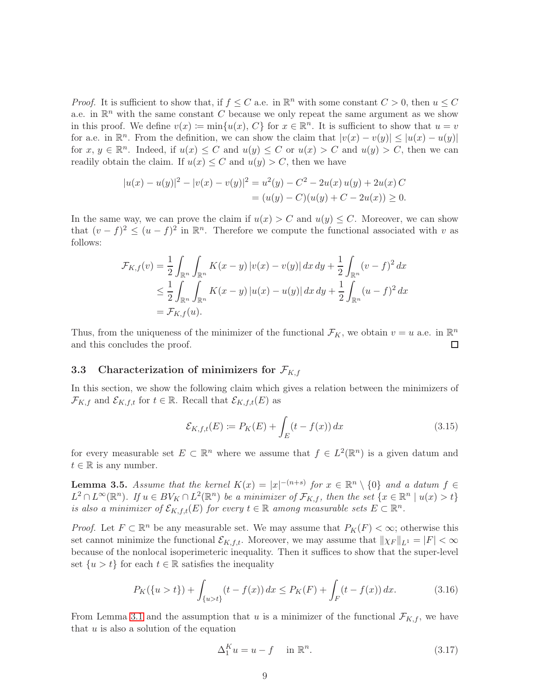*Proof.* It is sufficient to show that, if  $f \leq C$  a.e. in  $\mathbb{R}^n$  with some constant  $C > 0$ , then  $u \leq C$ a.e. in  $\mathbb{R}^n$  with the same constant C because we only repeat the same argument as we show in this proof. We define  $v(x) \coloneqq \min\{u(x), C\}$  for  $x \in \mathbb{R}^n$ . It is sufficient to show that  $u = v$ for a.e. in  $\mathbb{R}^n$ . From the definition, we can show the claim that  $|v(x) - v(y)| \leq |u(x) - u(y)|$ for  $x, y \in \mathbb{R}^n$ . Indeed, if  $u(x) \leq C$  and  $u(y) \leq C$  or  $u(x) > C$  and  $u(y) > C$ , then we can readily obtain the claim. If  $u(x) \leq C$  and  $u(y) > C$ , then we have

$$
|u(x) - u(y)|^2 - |v(x) - v(y)|^2 = u^2(y) - C^2 - 2u(x)u(y) + 2u(x)C
$$
  
=  $(u(y) - C)(u(y) + C - 2u(x)) \ge 0.$ 

In the same way, we can prove the claim if  $u(x) > C$  and  $u(y) \leq C$ . Moreover, we can show that  $(v - f)^2 \le (u - f)^2$  in  $\mathbb{R}^n$ . Therefore we compute the functional associated with v as follows:

$$
\mathcal{F}_{K,f}(v) = \frac{1}{2} \int_{\mathbb{R}^n} \int_{\mathbb{R}^n} K(x - y) |v(x) - v(y)| dx dy + \frac{1}{2} \int_{\mathbb{R}^n} (v - f)^2 dx
$$
  
\n
$$
\leq \frac{1}{2} \int_{\mathbb{R}^n} \int_{\mathbb{R}^n} K(x - y) |u(x) - u(y)| dx dy + \frac{1}{2} \int_{\mathbb{R}^n} (u - f)^2 dx
$$
  
\n
$$
= \mathcal{F}_{K,f}(u).
$$

Thus, from the uniqueness of the minimizer of the functional  $\mathcal{F}_K$ , we obtain  $v = u$  a.e. in  $\mathbb{R}^n$ and this concludes the proof. □

## <span id="page-8-0"></span>3.3 Characterization of minimizers for  $\mathcal{F}_{K,f}$

In this section, we show the following claim which gives a relation between the minimizers of  $\mathcal{F}_{K,f}$  and  $\mathcal{E}_{K,f,t}$  for  $t \in \mathbb{R}$ . Recall that  $\mathcal{E}_{K,f,t}(E)$  as

$$
\mathcal{E}_{K,f,t}(E) := P_K(E) + \int_E (t - f(x)) dx \tag{3.15}
$$

for every measurable set  $E \subset \mathbb{R}^n$  where we assume that  $f \in L^2(\mathbb{R}^n)$  is a given datum and  $t \in \mathbb{R}$  is any number.

<span id="page-8-3"></span>**Lemma 3.5.** Assume that the kernel  $K(x) = |x|^{-(n+s)}$  for  $x \in \mathbb{R}^n \setminus \{0\}$  and a datum  $f \in$  $L^2 \cap L^{\infty}(\mathbb{R}^n)$ . If  $u \in BV_K \cap L^2(\mathbb{R}^n)$  be a minimizer of  $\mathcal{F}_{K,f}$ , then the set  $\{x \in \mathbb{R}^n \mid u(x) > t\}$ is also a minimizer of  $\mathcal{E}_{K,f,t}(E)$  for every  $t \in \mathbb{R}$  among measurable sets  $E \subset \mathbb{R}^n$ .

*Proof.* Let  $F \subset \mathbb{R}^n$  be any measurable set. We may assume that  $P_K(F) < \infty$ ; otherwise this set cannot minimize the functional  $\mathcal{E}_{K,f,t}$ . Moreover, we may assume that  $\|\chi_F\|_{L^1} = |F| < \infty$ because of the nonlocal isoperimeteric inequality. Then it suffices to show that the super-level set  $\{u > t\}$  for each  $t \in \mathbb{R}$  satisfies the inequality

<span id="page-8-2"></span>
$$
P_K(\{u > t\}) + \int_{\{u > t\}} (t - f(x)) dx \le P_K(F) + \int_F (t - f(x)) dx.
$$
 (3.16)

From Lemma [3.1](#page-5-4) and the assumption that u is a minimizer of the functional  $\mathcal{F}_{K,f}$ , we have that  $u$  is also a solution of the equation

<span id="page-8-1"></span>
$$
\Delta_1^K u = u - f \quad \text{in } \mathbb{R}^n. \tag{3.17}
$$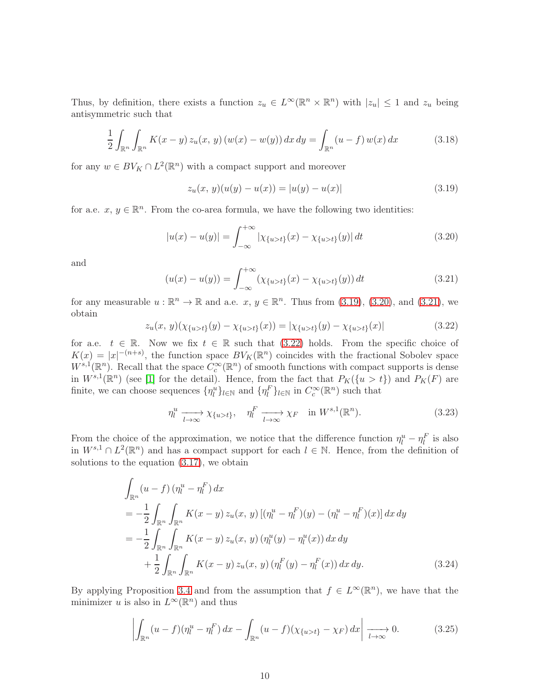Thus, by definition, there exists a function  $z_u \in L^{\infty}(\mathbb{R}^n \times \mathbb{R}^n)$  with  $|z_u| \leq 1$  and  $z_u$  being antisymmetric such that

$$
\frac{1}{2} \int_{\mathbb{R}^n} \int_{\mathbb{R}^n} K(x - y) z_u(x, y) (w(x) - w(y)) dx dy = \int_{\mathbb{R}^n} (u - f) w(x) dx \tag{3.18}
$$

for any  $w \in BV_K \cap L^2(\mathbb{R}^n)$  with a compact support and moreover

<span id="page-9-0"></span>
$$
z_u(x, y)(u(y) - u(x)) = |u(y) - u(x)|
$$
\n(3.19)

for a.e.  $x, y \in \mathbb{R}^n$ . From the co-area formula, we have the following two identities:

<span id="page-9-1"></span>
$$
|u(x) - u(y)| = \int_{-\infty}^{+\infty} |\chi_{\{u > t\}}(x) - \chi_{\{u > t\}}(y)| dt
$$
 (3.20)

and

<span id="page-9-2"></span>
$$
(u(x) - u(y)) = \int_{-\infty}^{+\infty} (\chi_{\{u > t\}}(x) - \chi_{\{u > t\}}(y)) dt
$$
 (3.21)

for any measurable  $u : \mathbb{R}^n \to \mathbb{R}$  and a.e.  $x, y \in \mathbb{R}^n$ . Thus from [\(3.19\)](#page-9-0), [\(3.20\)](#page-9-1), and [\(3.21\)](#page-9-2), we obtain

<span id="page-9-3"></span>
$$
z_u(x, y)(\chi_{\{u>t\}}(y) - \chi_{\{u>t\}}(x)) = |\chi_{\{u>t\}}(y) - \chi_{\{u>t\}}(x)| \tag{3.22}
$$

for a.e.  $t \in \mathbb{R}$ . Now we fix  $t \in \mathbb{R}$  such that [\(3.22\)](#page-9-3) holds. From the specific choice of  $K(x) = |x|^{-(n+s)}$ , the function space  $BV_K(\mathbb{R}^n)$  coincides with the fractional Sobolev space  $W^{s,1}(\mathbb{R}^n)$ . Recall that the space  $C_c^{\infty}(\mathbb{R}^n)$  of smooth functions with compact supports is dense in  $W^{s,1}(\mathbb{R}^n)$  (see [\[1\]](#page-23-11) for the detail). Hence, from the fact that  $P_K({u > t})$  and  $P_K(F)$  are finite, we can choose sequences  $\{\eta_l^u\}_{l \in \mathbb{N}}$  and  $\{\eta_l^F\}_{l \in \mathbb{N}}$  in  $C_c^{\infty}(\mathbb{R}^n)$  such that

<span id="page-9-5"></span><span id="page-9-4"></span>
$$
\eta_l^u \xrightarrow[l \to \infty]{} \chi_{\{u > t\}}, \quad \eta_l^F \xrightarrow[l \to \infty]{} \chi_F \quad \text{in } W^{s,1}(\mathbb{R}^n). \tag{3.23}
$$

From the choice of the approximation, we notice that the difference function  $\eta_l^u - \eta_l^F$  is also in  $W^{s,1} \cap L^2(\mathbb{R}^n)$  and has a compact support for each  $l \in \mathbb{N}$ . Hence, from the definition of solutions to the equation  $(3.17)$ , we obtain

$$
\int_{\mathbb{R}^n} (u - f) \left( \eta_l^u - \eta_l^F \right) dx
$$
\n
$$
= -\frac{1}{2} \int_{\mathbb{R}^n} \int_{\mathbb{R}^n} K(x - y) z_u(x, y) \left[ (\eta_l^u - \eta_l^F)(y) - (\eta_l^u - \eta_l^F)(x) \right] dx dy
$$
\n
$$
= -\frac{1}{2} \int_{\mathbb{R}^n} \int_{\mathbb{R}^n} K(x - y) z_u(x, y) \left( \eta_l^u(y) - \eta_l^u(x) \right) dx dy
$$
\n
$$
+ \frac{1}{2} \int_{\mathbb{R}^n} \int_{\mathbb{R}^n} K(x - y) z_u(x, y) \left( \eta_l^F(y) - \eta_l^F(x) \right) dx dy.
$$
\n(3.24)

By applying Proposition [3.4](#page-7-3) and from the assumption that  $f \in L^{\infty}(\mathbb{R}^n)$ , we have that the minimizer u is also in  $L^{\infty}(\mathbb{R}^n)$  and thus

<span id="page-9-6"></span>
$$
\left| \int_{\mathbb{R}^n} (u - f)(\eta_t^u - \eta_t^F) dx - \int_{\mathbb{R}^n} (u - f)(\chi_{\{u > t\}} - \chi_F) dx \right| \xrightarrow[l \to \infty]{} 0. \tag{3.25}
$$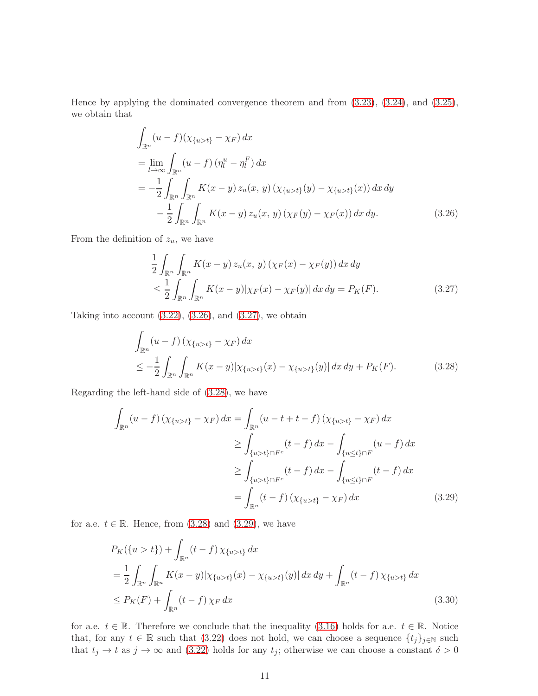Hence by applying the dominated convergence theorem and from [\(3.23\)](#page-9-4), [\(3.24\)](#page-9-5), and [\(3.25\)](#page-9-6), we obtain that

$$
\int_{\mathbb{R}^n} (u - f)(\chi_{\{u > t\}} - \chi_F) dx
$$
\n
$$
= \lim_{l \to \infty} \int_{\mathbb{R}^n} (u - f) (\eta_l^u - \eta_l^F) dx
$$
\n
$$
= -\frac{1}{2} \int_{\mathbb{R}^n} \int_{\mathbb{R}^n} K(x - y) z_u(x, y) (\chi_{\{u > t\}}(y) - \chi_{\{u > t\}}(x)) dx dy
$$
\n
$$
- \frac{1}{2} \int_{\mathbb{R}^n} \int_{\mathbb{R}^n} K(x - y) z_u(x, y) (\chi_F(y) - \chi_F(x)) dx dy.
$$
\n(3.26)

From the definition of  $z_u$ , we have

<span id="page-10-1"></span><span id="page-10-0"></span>
$$
\frac{1}{2} \int_{\mathbb{R}^n} \int_{\mathbb{R}^n} K(x - y) z_u(x, y) \left(\chi_F(x) - \chi_F(y)\right) dx dy
$$
\n
$$
\leq \frac{1}{2} \int_{\mathbb{R}^n} \int_{\mathbb{R}^n} K(x - y) |\chi_F(x) - \chi_F(y)| dx dy = P_K(F). \tag{3.27}
$$

Taking into account  $(3.22)$ ,  $(3.26)$ , and  $(3.27)$ , we obtain

<span id="page-10-2"></span>
$$
\int_{\mathbb{R}^n} (u - f) \left( \chi_{\{u > t\}} - \chi_F \right) dx
$$
\n
$$
\leq -\frac{1}{2} \int_{\mathbb{R}^n} \int_{\mathbb{R}^n} K(x - y) |\chi_{\{u > t\}}(x) - \chi_{\{u > t\}}(y)| dx dy + P_K(F). \tag{3.28}
$$

Regarding the left-hand side of [\(3.28\)](#page-10-2), we have

$$
\int_{\mathbb{R}^n} (u - f) \left( \chi_{\{u > t\}} - \chi_F \right) dx = \int_{\mathbb{R}^n} (u - t + t - f) \left( \chi_{\{u > t\}} - \chi_F \right) dx
$$
\n
$$
\geq \int_{\{u > t\} \cap F^c} (t - f) dx - \int_{\{u \leq t\} \cap F} (u - f) dx
$$
\n
$$
\geq \int_{\{u > t\} \cap F^c} (t - f) dx - \int_{\{u \leq t\} \cap F} (t - f) dx
$$
\n
$$
= \int_{\mathbb{R}^n} (t - f) \left( \chi_{\{u > t\}} - \chi_F \right) dx \tag{3.29}
$$

for a.e.  $t \in \mathbb{R}$ . Hence, from [\(3.28\)](#page-10-2) and [\(3.29\)](#page-10-3), we have

<span id="page-10-3"></span>
$$
P_K(\{u > t\}) + \int_{\mathbb{R}^n} (t - f) \chi_{\{u > t\}} dx
$$
  
=  $\frac{1}{2} \int_{\mathbb{R}^n} \int_{\mathbb{R}^n} K(x - y) |\chi_{\{u > t\}}(x) - \chi_{\{u > t\}}(y)| dx dy + \int_{\mathbb{R}^n} (t - f) \chi_{\{u > t\}} dx$   
 $\leq P_K(F) + \int_{\mathbb{R}^n} (t - f) \chi_F dx$  (3.30)

for a.e.  $t \in \mathbb{R}$ . Therefore we conclude that the inequality [\(3.16\)](#page-8-2) holds for a.e.  $t \in \mathbb{R}$ . Notice that, for any  $t \in \mathbb{R}$  such that [\(3.22\)](#page-9-3) does not hold, we can choose a sequence  $\{t_j\}_{j\in\mathbb{N}}$  such that  $t_j \to t$  as  $j \to \infty$  and [\(3.22\)](#page-9-3) holds for any  $t_j$ ; otherwise we can choose a constant  $\delta > 0$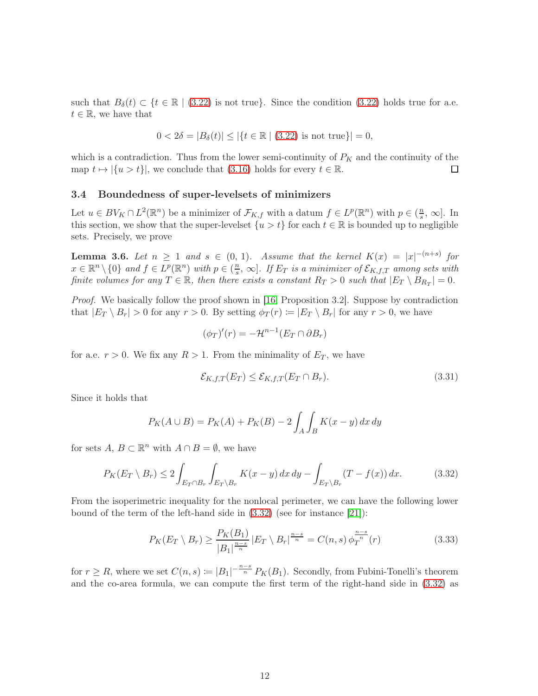such that  $B_\delta(t) \subset \{t \in \mathbb{R} \mid (3.22) \text{ is not true}\}.$  $B_\delta(t) \subset \{t \in \mathbb{R} \mid (3.22) \text{ is not true}\}.$  $B_\delta(t) \subset \{t \in \mathbb{R} \mid (3.22) \text{ is not true}\}.$  Since the condition  $(3.22)$  holds true for a.e.  $t \in \mathbb{R}$ , we have that

$$
0 < 2\delta = |B_{\delta}(t)| \le |\{t \in \mathbb{R} \mid (3.22) \text{ is not true}\}| = 0,
$$

which is a contradiction. Thus from the lower semi-continuity of  $P_K$  and the continuity of the map  $t \mapsto |\{u > t\}|$ , we conclude that [\(3.16\)](#page-8-2) holds for every  $t \in \mathbb{R}$ .  $\Box$ 

### <span id="page-11-0"></span>3.4 Boundedness of super-levelsets of minimizers

Let  $u \in BV_K \cap L^2(\mathbb{R}^n)$  be a minimizer of  $\mathcal{F}_{K,f}$  with a datum  $f \in L^p(\mathbb{R}^n)$  with  $p \in (\frac{n}{s})$  $\frac{n}{s}$ ,  $\infty$ . In this section, we show that the super-level set  $\{u > t\}$  for each  $t \in \mathbb{R}$  is bounded up to negligible sets. Precisely, we prove

<span id="page-11-3"></span>**Lemma 3.6.** Let  $n \geq 1$  and  $s \in (0, 1)$ . Assume that the kernel  $K(x) = |x|^{-(n+s)}$  for  $x \in \mathbb{R}^n \setminus \{0\}$  and  $f \in L^p(\mathbb{R}^n)$  with  $p \in (\frac{n}{s})$  $\frac{n}{s}, \infty$ ]. If  $E_T$  is a minimizer of  $\mathcal{E}_{K,f,T}$  among sets with finite volumes for any  $T \in \mathbb{R}$ , then there exists a constant  $R_T > 0$  such that  $|E_T \setminus B_{R_T}| = 0$ .

Proof. We basically follow the proof shown in [\[16,](#page-23-9) Proposition 3.2]. Suppose by contradiction that  $|E_T \setminus B_r| > 0$  for any  $r > 0$ . By setting  $\phi_T(r) := |E_T \setminus B_r|$  for any  $r > 0$ , we have

$$
(\phi_T)'(r) = -\mathcal{H}^{n-1}(E_T \cap \partial B_r)
$$

for a.e.  $r > 0$ . We fix any  $R > 1$ . From the minimality of  $E_T$ , we have

<span id="page-11-1"></span>
$$
\mathcal{E}_{K,f,T}(E_T) \le \mathcal{E}_{K,f,T}(E_T \cap B_r). \tag{3.31}
$$

Since it holds that

$$
P_K(A \cup B) = P_K(A) + P_K(B) - 2 \int_A \int_B K(x - y) dx dy
$$

for sets  $A, B \subset \mathbb{R}^n$  with  $A \cap B = \emptyset$ , we have

$$
P_K(E_T \setminus B_r) \le 2 \int_{E_T \cap B_r} \int_{E_T \setminus B_r} K(x - y) \, dx \, dy - \int_{E_T \setminus B_r} (T - f(x)) \, dx. \tag{3.32}
$$

From the isoperimetric inequality for the nonlocal perimeter, we can have the following lower bound of the term of the left-hand side in [\(3.32\)](#page-11-1) (see for instance [\[21\]](#page-24-12)):

<span id="page-11-2"></span>
$$
P_K(E_T \setminus B_r) \ge \frac{P_K(B_1)}{|B_1|^{\frac{n-s}{n}}} |E_T \setminus B_r|^{\frac{n-s}{n}} = C(n, s) \phi_T^{\frac{n-s}{n}}(r)
$$
(3.33)

for  $r \geq R$ , where we set  $C(n, s) := |B_1|^{-\frac{n-s}{n}} P_K(B_1)$ . Secondly, from Fubini-Tonelli's theorem and the co-area formula, we can compute the first term of the right-hand side in [\(3.32\)](#page-11-1) as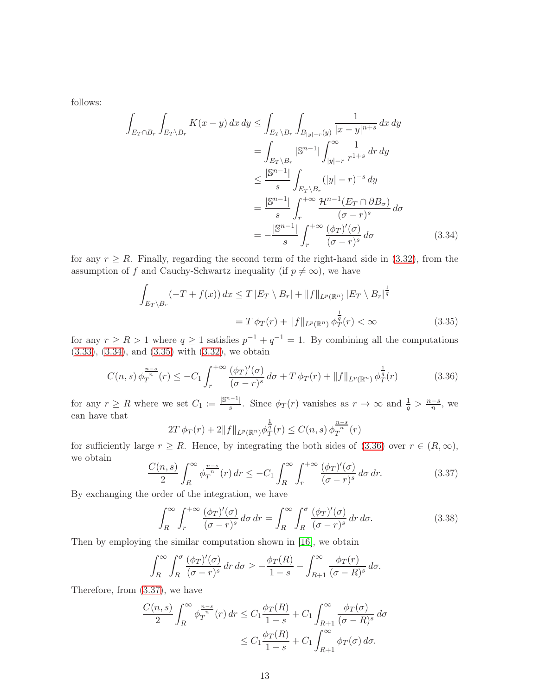follows:

$$
\int_{E_T \cap B_r} \int_{E_T \setminus B_r} K(x - y) dx dy \le \int_{E_T \setminus B_r} \int_{B_{|y|-r}(y)} \frac{1}{|x - y|^{n+s}} dx dy
$$
\n
$$
= \int_{E_T \setminus B_r} |\mathbb{S}^{n-1}| \int_{|y|-r}^{\infty} \frac{1}{r^{1+s}} dr dy
$$
\n
$$
\le \frac{|\mathbb{S}^{n-1}|}{s} \int_{E_T \setminus B_r} (|y| - r)^{-s} dy
$$
\n
$$
= \frac{|\mathbb{S}^{n-1}|}{s} \int_r^{+\infty} \frac{\mathcal{H}^{n-1}(E_T \cap \partial B_\sigma)}{(\sigma - r)^s} d\sigma
$$
\n
$$
= -\frac{|\mathbb{S}^{n-1}|}{s} \int_r^{+\infty} \frac{(\phi_T)'(\sigma)}{(\sigma - r)^s} d\sigma \qquad (3.34)
$$

for any  $r \geq R$ . Finally, regarding the second term of the right-hand side in [\(3.32\)](#page-11-1), from the assumption of f and Cauchy-Schwartz inequality (if  $p \neq \infty$ ), we have

<span id="page-12-0"></span>
$$
\int_{E_T \backslash B_r} (-T + f(x)) dx \le T |E_T \backslash B_r| + ||f||_{L^p(\mathbb{R}^n)} |E_T \backslash B_r|^{\frac{1}{q}}
$$
\n
$$
= T \phi_T(r) + ||f||_{L^p(\mathbb{R}^n)} \phi_T^{\frac{1}{q}}(r) < \infty
$$
\n(3.35)

for any  $r \ge R > 1$  where  $q \ge 1$  satisfies  $p^{-1} + q^{-1} = 1$ . By combining all the computations [\(3.33\)](#page-11-2), [\(3.34\)](#page-12-0), and [\(3.35\)](#page-12-1) with [\(3.32\)](#page-11-1), we obtain

<span id="page-12-2"></span>
$$
C(n,s)\,\phi_T^{\frac{n-s}{n}}(r) \le -C_1 \int_r^{+\infty} \frac{(\phi_T)'(\sigma)}{(\sigma - r)^s} \, d\sigma + T \, \phi_T(r) + \|f\|_{L^p(\mathbb{R}^n)} \, \phi_T^{\frac{1}{q}}(r) \tag{3.36}
$$

for any  $r \geq R$  where we set  $C_1 := \frac{|\mathbb{S}^{n-1}|}{s}$  $\frac{1}{s}$ . Since  $\phi_T(r)$  vanishes as  $r \to \infty$  and  $\frac{1}{q} > \frac{n-s}{n}$ , we can have that 1

<span id="page-12-1"></span>
$$
2T \phi_T(r) + 2||f||_{L^p(\mathbb{R}^n)} \phi_T^{\frac{1}{q}}(r) \le C(n, s) \phi_T^{\frac{n-s}{n}}(r)
$$

for sufficiently large  $r \geq R$ . Hence, by integrating the both sides of [\(3.36\)](#page-12-2) over  $r \in (R,\infty)$ , we obtain

<span id="page-12-3"></span>
$$
\frac{C(n,s)}{2} \int_{R}^{\infty} \phi_T^{\frac{n-s}{n}}(r) dr \le -C_1 \int_{R}^{\infty} \int_{r}^{+\infty} \frac{(\phi_T)'(\sigma)}{(\sigma - r)^s} d\sigma dr.
$$
 (3.37)

By exchanging the order of the integration, we have

$$
\int_{R}^{\infty} \int_{r}^{+\infty} \frac{(\phi_T)'(\sigma)}{(\sigma - r)^s} d\sigma dr = \int_{R}^{\infty} \int_{R}^{\sigma} \frac{(\phi_T)'(\sigma)}{(\sigma - r)^s} dr d\sigma.
$$
 (3.38)

Then by employing the similar computation shown in [\[16\]](#page-23-9), we obtain

$$
\int_R^{\infty} \int_R^{\sigma} \frac{(\phi_T)'(\sigma)}{(\sigma - r)^s} dr d\sigma \ge -\frac{\phi_T(R)}{1 - s} - \int_{R+1}^{\infty} \frac{\phi_T(r)}{(\sigma - R)^s} d\sigma.
$$

Therefore, from [\(3.37\)](#page-12-3), we have

$$
\frac{C(n,s)}{2} \int_{R}^{\infty} \phi_T^{\frac{n-s}{n}}(r) dr \le C_1 \frac{\phi_T(R)}{1-s} + C_1 \int_{R+1}^{\infty} \frac{\phi_T(\sigma)}{(\sigma - R)^s} d\sigma
$$
  

$$
\le C_1 \frac{\phi_T(R)}{1-s} + C_1 \int_{R+1}^{\infty} \phi_T(\sigma) d\sigma.
$$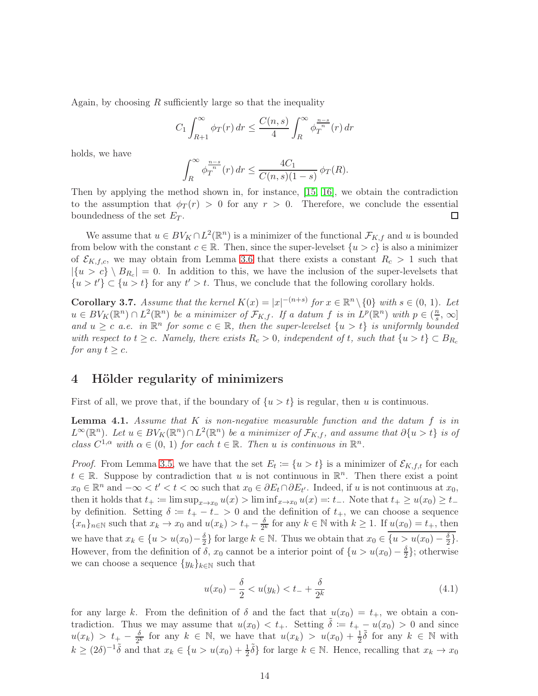Again, by choosing  $R$  sufficiently large so that the inequality

$$
C_1 \int_{R+1}^{\infty} \phi_T(r) dr \le \frac{C(n,s)}{4} \int_{R}^{\infty} \phi_T^{\frac{n-s}{n}}(r) dr
$$

holds, we have

$$
\int_{R}^{\infty} \phi_T^{\frac{n-s}{n}}(r) dr \le \frac{4C_1}{C(n,s)(1-s)} \phi_T(R).
$$

Then by applying the method shown in, for instance, [\[15,](#page-23-12) [16\]](#page-23-9), we obtain the contradiction to the assumption that  $\phi_T(r) > 0$  for any  $r > 0$ . Therefore, we conclude the essential boundedness of the set  $E_T$ .  $\Box$ 

We assume that  $u \in BV_K \cap L^2(\mathbb{R}^n)$  is a minimizer of the functional  $\mathcal{F}_{K,f}$  and u is bounded from below with the constant  $c \in \mathbb{R}$ . Then, since the super-levelset  $\{u > c\}$  is also a minimizer of  $\mathcal{E}_{K,f,c}$ , we may obtain from Lemma [3.6](#page-11-3) that there exists a constant  $R_c > 1$  such that  $|\{u > c\} \setminus B_{R_c}| = 0.$  In addition to this, we have the inclusion of the super-level sets that  $\{u > t'\} \subset \{u > t\}$  for any  $t' > t$ . Thus, we conclude that the following corollary holds.

<span id="page-13-2"></span>**Corollary 3.7.** Assume that the kernel  $K(x) = |x|^{-(n+s)}$  for  $x \in \mathbb{R}^n \setminus \{0\}$  with  $s \in (0, 1)$ . Let  $u \in BV_K(\mathbb{R}^n) \cap L^2(\mathbb{R}^n)$  be a minimizer of  $\mathcal{F}_{K,f}$ . If a datum f is in  $L^p(\mathbb{R}^n)$  with  $p \in (\frac{n}{s})$  $\frac{n}{s}, \infty]$ and  $u \geq c$  a.e. in  $\mathbb{R}^n$  for some  $c \in \mathbb{R}$ , then the super-levelset  $\{u > t\}$  is uniformly bounded with respect to  $t \geq c$ . Namely, there exists  $R_c > 0$ , independent of t, such that  $\{u > t\} \subset B_{R_c}$ for any  $t \geq c$ .

# <span id="page-13-0"></span>4 Hölder regularity of minimizers

First of all, we prove that, if the boundary of  $\{u > t\}$  is regular, then u is continuous.

<span id="page-13-1"></span>**Lemma 4.1.** Assume that  $K$  is non-negative measurable function and the datum  $f$  is in  $L^{\infty}(\mathbb{R}^n)$ . Let  $u \in BV_K(\mathbb{R}^n) \cap L^2(\mathbb{R}^n)$  be a minimizer of  $\mathcal{F}_{K,f}$ , and assume that  $\partial\{u > t\}$  is of class  $C^{1,\alpha}$  with  $\alpha \in (0, 1)$  for each  $t \in \mathbb{R}$ . Then u is continuous in  $\mathbb{R}^n$ .

*Proof.* From Lemma [3.5,](#page-8-3) we have that the set  $E_t := \{u > t\}$  is a minimizer of  $\mathcal{E}_{K, f, t}$  for each  $t \in \mathbb{R}$ . Suppose by contradiction that u is not continuous in  $\mathbb{R}^n$ . Then there exist a point  $x_0 \in \mathbb{R}^n$  and  $-\infty < t' < t < \infty$  such that  $x_0 \in \partial E_t \cap \partial E_{t'}$ . Indeed, if u is not continuous at  $x_0$ , then it holds that  $t_+ := \limsup_{x \to x_0} u(x) > \liminf_{x \to x_0} u(x) =: t_-.$  Note that  $t_+ \ge u(x_0) \ge t_$ by definition. Setting  $\delta := t_+ - t_- > 0$  and the definition of  $t_+$ , we can choose a sequence  ${x_n}_{n\in\mathbb{N}}$  such that  $x_k \to x_0$  and  $u(x_k) > t_+ - \frac{\delta}{2}$  $\frac{\partial}{\partial k}$  for any  $k \in \mathbb{N}$  with  $k \geq 1$ . If  $u(x_0) = t_+$ , then we have that  $x_k \in \{u > u(x_0) - \frac{\delta}{2}\}\$ for large  $k \in \mathbb{N}$ . Thus we obtain that  $x_0 \in \{u > u(x_0) - \frac{\delta}{2}\}\$ . However, from the definition of  $\delta$ ,  $x_0$  cannot be a interior point of  $\{u > u(x_0) - \frac{\delta}{2}\}$  $\frac{1}{2}$ ; otherwise we can choose a sequence  $\{y_k\}_{k\in\mathbb{N}}$  such that

$$
u(x_0) - \frac{\delta}{2} < u(y_k) < t_- + \frac{\delta}{2^k} \tag{4.1}
$$

for any large k. From the definition of  $\delta$  and the fact that  $u(x_0) = t_+$ , we obtain a contradiction. Thus we may assume that  $u(x_0) < t_+$ . Setting  $\tilde{\delta} := t_+ - u(x_0) > 0$  and since  $u(x_k) > t_+ - \frac{\delta}{2l}$  $\frac{\delta}{2^k}$  for any  $k \in \mathbb{N}$ , we have that  $u(x_k) > u(x_0) + \frac{1}{2}\tilde{\delta}$  for any  $k \in \mathbb{N}$  with  $k \geq (2\delta)^{-1} \tilde{\delta}$  and that  $x_k \in \{u > u(x_0) + \frac{1}{2} \tilde{\delta}\}\$ for large  $k \in \mathbb{N}$ . Hence, recalling that  $x_k \to x_0$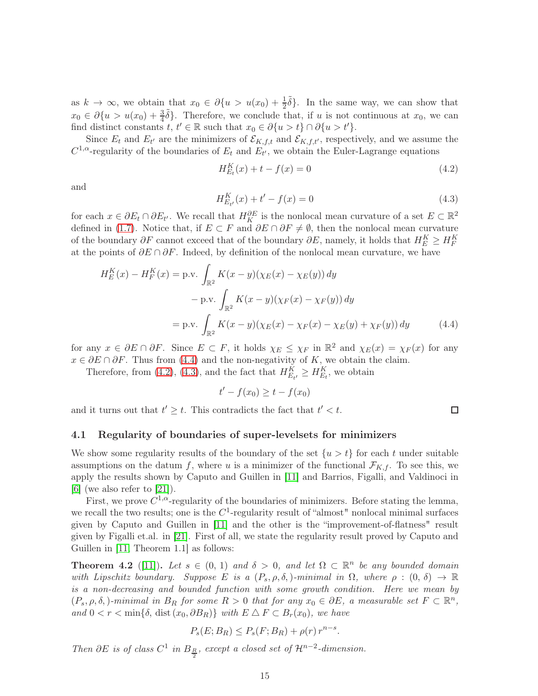as  $k \to \infty$ , we obtain that  $x_0 \in \partial \{u > u(x_0) + \frac{1}{2}\tilde{\delta}\}\)$ . In the same way, we can show that  $x_0 \in \partial \{u > u(x_0) + \frac{3}{4}\tilde{\delta}\}\.$  Therefore, we conclude that, if u is not continuous at  $x_0$ , we can find distinct constants  $t, t' \in \mathbb{R}$  such that  $x_0 \in \partial \{u > t\} \cap \partial \{u > t'\}.$ 

Since  $E_t$  and  $E_{t'}$  are the minimizers of  $\mathcal{E}_{K,f,t}$  and  $\mathcal{E}_{K,f,t'}$ , respectively, and we assume the  $C^{1,\alpha}$ -regularity of the boundaries of  $E_t$  and  $E_{t'}$ , we obtain the Euler-Lagrange equations

<span id="page-14-2"></span>
$$
H_{E_t}^K(x) + t - f(x) = 0
$$
\n(4.2)

and

<span id="page-14-3"></span>
$$
H_{E_{t'}}^{K}(x) + t' - f(x) = 0
$$
\n(4.3)

<span id="page-14-1"></span> $\Box$ 

for each  $x \in \partial E_t \cap \partial E_{t'}$ . We recall that  $H_K^{\partial E}$  is the nonlocal mean curvature of a set  $E \subset \mathbb{R}^2$ defined in [\(1.7\)](#page-2-0). Notice that, if  $E \subset F$  and  $\partial E \cap \partial F \neq \emptyset$ , then the nonlocal mean curvature of the boundary  $\partial F$  cannot exceed that of the boundary  $\partial E$ , namely, it holds that  $H_E^K \geq H_F^K$ at the points of  $\partial E \cap \partial F$ . Indeed, by definition of the nonlocal mean curvature, we have

$$
H_E^K(x) - H_F^K(x) = \text{p.v.} \int_{\mathbb{R}^2} K(x - y)(\chi_E(x) - \chi_E(y)) \, dy
$$
  
-  $\text{p.v.} \int_{\mathbb{R}^2} K(x - y)(\chi_F(x) - \chi_F(y)) \, dy$   
=  $\text{p.v.} \int_{\mathbb{R}^2} K(x - y)(\chi_E(x) - \chi_F(x) - \chi_E(y) + \chi_F(y)) \, dy$  (4.4)

for any  $x \in \partial E \cap \partial F$ . Since  $E \subset F$ , it holds  $\chi_E \leq \chi_F$  in  $\mathbb{R}^2$  and  $\chi_E(x) = \chi_F(x)$  for any  $x \in \partial E \cap \partial F$ . Thus from [\(4.4\)](#page-14-1) and the non-negativity of K, we obtain the claim.

Therefore, from [\(4.2\)](#page-14-2), [\(4.3\)](#page-14-3), and the fact that  $H_{E_{t'}}^K \geq H_{E_t}^K$ , we obtain

$$
t'-f(x_0) \ge t-f(x_0)
$$

and it turns out that  $t' \geq t$ . This contradicts the fact that  $t' < t$ .

### <span id="page-14-0"></span>4.1 Regularity of boundaries of super-levelsets for minimizers

We show some regularity results of the boundary of the set  $\{u > t\}$  for each t under suitable assumptions on the datum f, where u is a minimizer of the functional  $\mathcal{F}_{K,f}$ . To see this, we apply the results shown by Caputo and Guillen in [\[11\]](#page-23-13) and Barrios, Figalli, and Valdinoci in  $[6]$  (we also refer to  $[21]$ ).

First, we prove  $C^{1,\alpha}$ -regularity of the boundaries of minimizers. Before stating the lemma, we recall the two results; one is the  $C^1$ -regularity result of "almost" nonlocal minimal surfaces given by Caputo and Guillen in [\[11\]](#page-23-13) and the other is the "improvement-of-flatness" result given by Figalli et.al. in [\[21\]](#page-24-12). First of all, we state the regularity result proved by Caputo and Guillen in [\[11,](#page-23-13) Theorem 1.1] as follows:

<span id="page-14-4"></span>**Theorem 4.2** ([\[11\]](#page-23-13)). Let  $s \in (0, 1)$  and  $\delta > 0$ , and let  $\Omega \subset \mathbb{R}^n$  be any bounded domain with Lipschitz boundary. Suppose E is a  $(P_s, \rho, \delta)$ -minimal in  $\Omega$ , where  $\rho : (0, \delta) \to \mathbb{R}$ is a non-decreasing and bounded function with some growth condition. Here we mean by  $(P_s, \rho, \delta)$ -minimal in  $B_R$  for some  $R > 0$  that for any  $x_0 \in \partial E$ , a measurable set  $F \subset \mathbb{R}^n$ , and  $0 < r < \min\{\delta, \text{ dist}(x_0, \partial B_R)\}\$  with  $E \Delta F \subset B_r(x_0)$ , we have

$$
P_s(E; B_R) \le P_s(F; B_R) + \rho(r) r^{n-s}.
$$

Then  $\partial E$  is of class  $C^1$  in  $B_{\frac{R}{2}}$ , except a closed set of  $\mathcal{H}^{n-2}$ -dimension.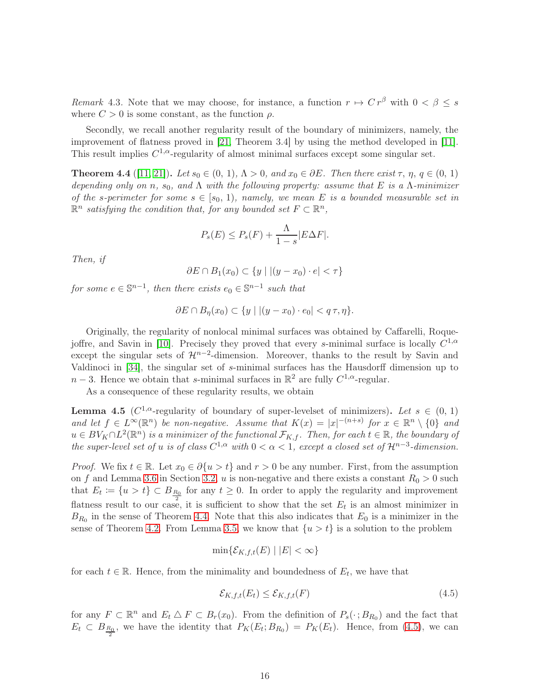Remark 4.3. Note that we may choose, for instance, a function  $r \mapsto C r^{\beta}$  with  $0 < \beta \leq s$ where  $C > 0$  is some constant, as the function  $\rho$ .

Secondly, we recall another regularity result of the boundary of minimizers, namely, the improvement of flatness proved in [\[21,](#page-24-12) Theorem 3.4] by using the method developed in [\[11\]](#page-23-13). This result implies  $C^{1,\alpha}$ -regularity of almost minimal surfaces except some singular set.

<span id="page-15-0"></span>**Theorem 4.4** ([\[11,](#page-23-13) [21\]](#page-24-12)). Let  $s_0 \in (0, 1)$ ,  $\Lambda > 0$ , and  $x_0 \in \partial E$ . Then there exist  $\tau$ ,  $\eta$ ,  $q \in (0, 1)$ depending only on n,  $s_0$ , and  $\Lambda$  with the following property: assume that E is a  $\Lambda$ -minimizer of the s-perimeter for some  $s \in [s_0, 1)$ , namely, we mean E is a bounded measurable set in  $\mathbb{R}^n$  satisfying the condition that, for any bounded set  $F \subset \mathbb{R}^n$ ,

$$
P_s(E) \le P_s(F) + \frac{\Lambda}{1-s} |E\Delta F|.
$$

Then, if

$$
\partial E \cap B_1(x_0) \subset \{y \mid |(y - x_0) \cdot e| < \tau\}
$$

for some  $e \in \mathbb{S}^{n-1}$ , then there exists  $e_0 \in \mathbb{S}^{n-1}$  such that

$$
\partial E \cap B_{\eta}(x_0) \subset \{y \mid |(y - x_0) \cdot e_0| < q\tau, \eta\}.
$$

Originally, the regularity of nonlocal minimal surfaces was obtained by Caffarelli, Roque-joffre, and Savin in [\[10\]](#page-23-7). Precisely they proved that every s-minimal surface is locally  $C^{1,\alpha}$ except the singular sets of  $\mathcal{H}^{n-2}$ -dimension. Moreover, thanks to the result by Savin and Valdinoci in [\[34\]](#page-24-13), the singular set of s-minimal surfaces has the Hausdorff dimension up to  $n-3$ . Hence we obtain that s-minimal surfaces in  $\mathbb{R}^2$  are fully  $C^{1,\alpha}$ -regular.

As a consequence of these regularity results, we obtain

<span id="page-15-2"></span>**Lemma 4.5** ( $C^{1,\alpha}$ -regularity of boundary of super-levelset of minimizers). Let  $s \in (0, 1)$ and let  $f \in L^{\infty}(\mathbb{R}^n)$  be non-negative. Assume that  $K(x) = |x|^{-(n+s)}$  for  $x \in \mathbb{R}^n \setminus \{0\}$  and  $u\in BV_K\cap L^2({\mathbb R}^n)$  is a minimizer of the functional  $\mathcal{F}_{K,f}.$  Then, for each  $t\in{\mathbb R},$  the boundary of the super-level set of u is of class  $C^{1,\alpha}$  with  $0 < \alpha < 1$ , except a closed set of  $\mathcal{H}^{n-3}$ -dimension.

*Proof.* We fix  $t \in \mathbb{R}$ . Let  $x_0 \in \partial \{u > t\}$  and  $r > 0$  be any number. First, from the assumption on f and Lemma [3.6](#page-11-3) in Section [3.2,](#page-6-0) u is non-negative and there exists a constant  $R_0 > 0$  such that  $E_t := \{u > t\} \subset B_{\frac{R_0}{2}}$  for any  $t \geq 0$ . In order to apply the regularity and improvement flatness result to our case, it is sufficient to show that the set  $E_t$  is an almost minimizer in  $B_{R_0}$  in the sense of Theorem [4.4.](#page-15-0) Note that this also indicates that  $E_0$  is a minimizer in the sense of Theorem [4.2.](#page-14-4) From Lemma [3.5,](#page-8-3) we know that  $\{u > t\}$  is a solution to the problem

$$
\min\{\mathcal{E}_{K,f,t}(E) \mid |E| < \infty\}
$$

for each  $t \in \mathbb{R}$ . Hence, from the minimality and boundedness of  $E_t$ , we have that

<span id="page-15-1"></span>
$$
\mathcal{E}_{K,f,t}(E_t) \le \mathcal{E}_{K,f,t}(F) \tag{4.5}
$$

for any  $F \subset \mathbb{R}^n$  and  $E_t \triangle F \subset B_r(x_0)$ . From the definition of  $P_s(\cdot; B_{R_0})$  and the fact that  $E_t \subset B_{\frac{R_0}{2}}$ , we have the identity that  $P_K(E_t; B_{R_0}) = P_K(E_t)$ . Hence, from [\(4.5\)](#page-15-1), we can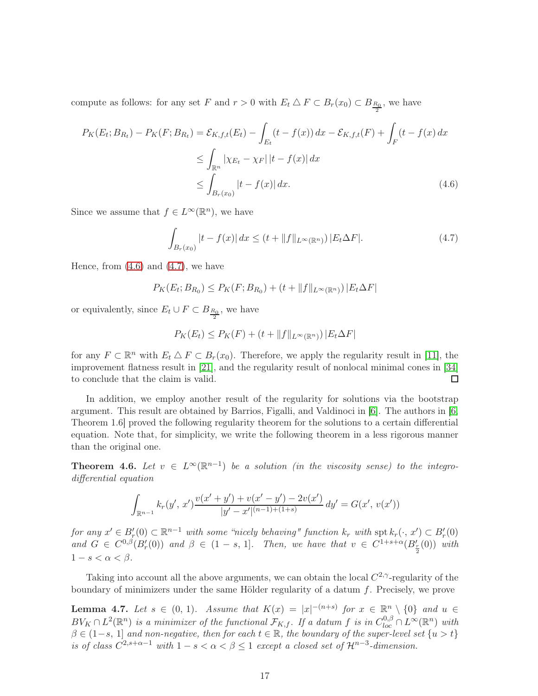compute as follows: for any set F and  $r > 0$  with  $E_t \bigtriangleup F \subset B_r(x_0) \subset B_{\frac{R_0}{2}}$ , we have

$$
P_K(E_t; B_{R_t}) - P_K(F; B_{R_t}) = \mathcal{E}_{K, f, t}(E_t) - \int_{E_t} (t - f(x)) dx - \mathcal{E}_{K, f, t}(F) + \int_F (t - f(x) dx)
$$
  
\n
$$
\leq \int_{\mathbb{R}^n} |\chi_{E_t} - \chi_F| |t - f(x)| dx
$$
  
\n
$$
\leq \int_{B_r(x_0)} |t - f(x)| dx.
$$
\n(4.6)

Since we assume that  $f \in L^{\infty}(\mathbb{R}^n)$ , we have

<span id="page-16-1"></span><span id="page-16-0"></span>
$$
\int_{B_r(x_0)} |t - f(x)| dx \le (t + \|f\|_{L^{\infty}(\mathbb{R}^n)}) |E_t \Delta F|.
$$
\n(4.7)

Hence, from  $(4.6)$  and  $(4.7)$ , we have

$$
P_K(E_t; B_{R_0}) \le P_K(F; B_{R_0}) + (t + ||f||_{L^{\infty}(\mathbb{R}^n)}) |E_t \Delta F|
$$

or equivalently, since  $E_t \cup F \subset B_{\frac{R_0}{2}}$ , we have

$$
P_K(E_t) \le P_K(F) + (t + \|f\|_{L^\infty(\mathbb{R}^n)}) |E_t \Delta F|
$$

for any  $F \subset \mathbb{R}^n$  with  $E_t \triangle F \subset B_r(x_0)$ . Therefore, we apply the regularity result in [\[11\]](#page-23-13), the improvement flatness result in [\[21\]](#page-24-12), and the regularity result of nonlocal minimal cones in [\[34\]](#page-24-13) to conclude that the claim is valid.  $\Box$ 

In addition, we employ another result of the regularity for solutions via the bootstrap argument. This result are obtained by Barrios, Figalli, and Valdinoci in [\[6\]](#page-23-14). The authors in [\[6,](#page-23-14) Theorem 1.6] proved the following regularity theorem for the solutions to a certain differential equation. Note that, for simplicity, we write the following theorem in a less rigorous manner than the original one.

**Theorem 4.6.** Let  $v \in L^{\infty}(\mathbb{R}^{n-1})$  be a solution (in the viscosity sense) to the integrodifferential equation

$$
\int_{\mathbb{R}^{n-1}} k_r(y', x') \frac{v(x' + y') + v(x' - y') - 2v(x')}{|y' - x'|^{(n-1)+(1+s)}} dy' = G(x', v(x'))
$$

for any  $x' \in B'_r(0) \subset \mathbb{R}^{n-1}$  with some "nicely behaving" function  $k_r$  with  $\text{spt } k_r(\cdot, x') \subset B'_r(0)$ and  $G \in C^{0,\beta}(B_r'(0))$  and  $\beta \in (1-s, 1]$ . Then, we have that  $v \in C^{1+s+\alpha}(B'_{\frac{r}{2}}(0))$  with  $1-s<\alpha<\beta$ .

Taking into account all the above arguments, we can obtain the local  $C^{2,\gamma}$ -regularity of the boundary of minimizers under the same Hölder regularity of a datum  $f$ . Precisely, we prove

<span id="page-16-2"></span>**Lemma 4.7.** Let  $s \in (0, 1)$ . Assume that  $K(x) = |x|^{-(n+s)}$  for  $x \in \mathbb{R}^n \setminus \{0\}$  and  $u \in$  $BV_K \cap L^2(\mathbb{R}^n)$  is a minimizer of the functional  $\mathcal{F}_{K,f}$ . If a datum f is in  $C^{0,\beta}_{loc} \cap L^{\infty}(\mathbb{R}^n)$  with  $\beta \in (1-s, 1]$  and non-negative, then for each  $t \in \mathbb{R}$ , the boundary of the super-level set  $\{u > t\}$ is of class  $C^{2,s+\alpha-1}$  with  $1-s < \alpha < \beta \leq 1$  except a closed set of  $\mathcal{H}^{n-3}$ -dimension.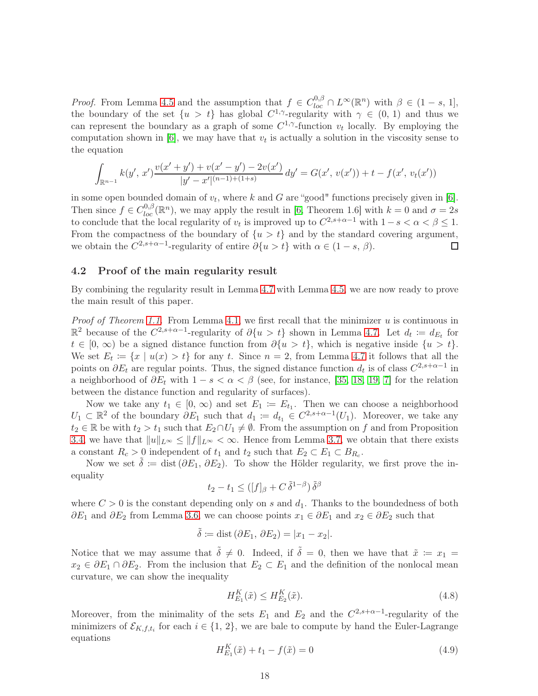*Proof.* From Lemma [4.5](#page-15-2) and the assumption that  $f \in C^{0,\beta}_{loc} \cap L^{\infty}(\mathbb{R}^n)$  with  $\beta \in (1-s, 1]$ , the boundary of the set  $\{u > t\}$  has global  $C^{1,\gamma}$ -regularity with  $\gamma \in (0, 1)$  and thus we can represent the boundary as a graph of some  $C^{1,\gamma}$ -function  $v_t$  locally. By employing the computation shown in [\[6\]](#page-23-14), we may have that  $v_t$  is actually a solution in the viscosity sense to the equation

$$
\int_{\mathbb{R}^{n-1}} k(y', x') \frac{v(x' + y') + v(x' - y') - 2v(x')}{|y' - x'|^{(n-1)+(1+s)}} dy' = G(x', v(x')) + t - f(x', v_t(x'))
$$

in some open bounded domain of  $v_t$ , where k and G are "good" functions precisely given in [\[6\]](#page-23-14). Then since  $f \in C_{loc}^{0,\beta}(\mathbb{R}^n)$ , we may apply the result in [\[6,](#page-23-14) Theorem 1.6] with  $k = 0$  and  $\sigma = 2s$ to conclude that the local regularity of  $v_t$  is improved up to  $C^{2,s+\alpha-1}$  with  $1-s < \alpha < \beta \leq 1$ . From the compactness of the boundary of  $\{u > t\}$  and by the standard covering argument, we obtain the  $C^{2,s+\alpha-1}$ -regularity of entire  $\partial\{u>t\}$  with  $\alpha \in (1-s, \beta)$ .  $\Box$ 

### <span id="page-17-0"></span>4.2 Proof of the main regularity result

By combining the regularity result in Lemma [4.7](#page-16-2) with Lemma [4.5,](#page-15-2) we are now ready to prove the main result of this paper.

*Proof of Theorem [1.1.](#page-1-3)* From Lemma [4.1,](#page-13-1) we first recall that the minimizer  $u$  is continuous in  $\mathbb{R}^2$  because of the  $C^{2,s+\alpha-1}$ -regularity of  $\partial\{u>t\}$  shown in Lemma [4.7.](#page-16-2) Let  $d_t := d_{E_t}$  for  $t \in [0, \infty)$  be a signed distance function from  $\partial \{u > t\}$ , which is negative inside  $\{u > t\}$ . We set  $E_t := \{x \mid u(x) > t\}$  for any t. Since  $n = 2$ , from Lemma [4.7](#page-16-2) it follows that all the points on  $\partial E_t$  are regular points. Thus, the signed distance function  $d_t$  is of class  $C^{2,s+\alpha-1}$  in a neighborhood of  $\partial E_t$  with  $1-s < \alpha < \beta$  (see, for instance, [\[35,](#page-24-14) [18,](#page-23-15) [19,](#page-24-15) [7\]](#page-23-16) for the relation between the distance function and regularity of surfaces).

Now we take any  $t_1 \in [0, \infty)$  and set  $E_1 := E_{t_1}$ . Then we can choose a neighborhood  $U_1 \subset \mathbb{R}^2$  of the boundary  $\partial E_1$  such that  $d_1 := d_{t_1} \in C^{2,s+\alpha-1}(U_1)$ . Moreover, we take any  $t_2 \in \mathbb{R}$  be with  $t_2 > t_1$  such that  $E_2 \cap U_1 \neq \emptyset$ . From the assumption on f and from Proposition [3.4,](#page-7-3) we have that  $||u||_{L^{\infty}} \le ||f||_{L^{\infty}} < \infty$ . Hence from Lemma [3.7,](#page-13-2) we obtain that there exists a constant  $R_c > 0$  independent of  $t_1$  and  $t_2$  such that  $E_2 \subset E_1 \subset B_{R_c}$ .

Now we set  $\delta := \text{dist}(\partial E_1, \partial E_2)$ . To show the Hölder regularity, we first prove the inequality

$$
t_2 - t_1 \leq ([f]_{\beta} + C \, \tilde{\delta}^{1-\beta}) \, \tilde{\delta}^{\beta}
$$

where  $C > 0$  is the constant depending only on s and  $d_1$ . Thanks to the boundedness of both  $\partial E_1$  and  $\partial E_2$  from Lemma [3.6,](#page-11-3) we can choose points  $x_1 \in \partial E_1$  and  $x_2 \in \partial E_2$  such that

$$
\tilde{\delta} \coloneqq \text{dist}\left(\partial E_1, \, \partial E_2\right) = |x_1 - x_2|.
$$

Notice that we may assume that  $\tilde{\delta} \neq 0$ . Indeed, if  $\tilde{\delta} = 0$ , then we have that  $\tilde{x} := x_1 =$  $x_2 \in \partial E_1 \cap \partial E_2$ . From the inclusion that  $E_2 \subset E_1$  and the definition of the nonlocal mean curvature, we can show the inequality

<span id="page-17-2"></span>
$$
H_{E_1}^K(\tilde{x}) \le H_{E_2}^K(\tilde{x}).\tag{4.8}
$$

Moreover, from the minimality of the sets  $E_1$  and  $E_2$  and the  $C^{2,s+\alpha-1}$ -regularity of the minimizers of  $\mathcal{E}_{K,f,t_i}$  for each  $i \in \{1, 2\}$ , we are bale to compute by hand the Euler-Lagrange equations

<span id="page-17-1"></span>
$$
H_{E_1}^K(\tilde{x}) + t_1 - f(\tilde{x}) = 0
$$
\n(4.9)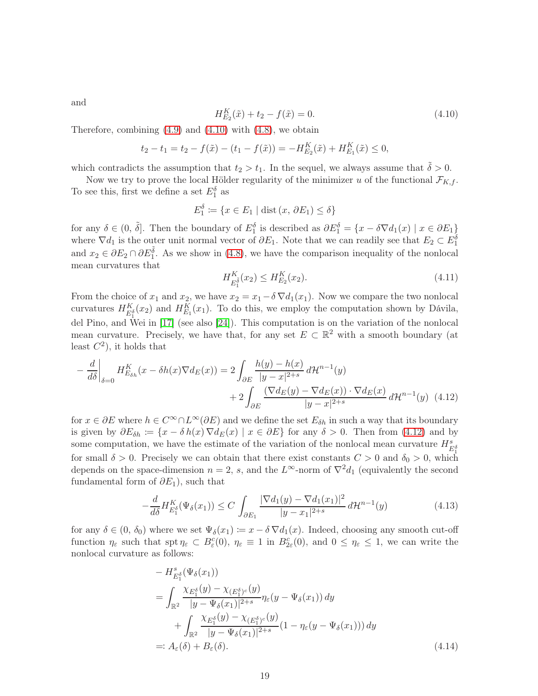and

<span id="page-18-0"></span>
$$
H_{E_2}^K(\tilde{x}) + t_2 - f(\tilde{x}) = 0.
$$
\n(4.10)

Therefore, combining  $(4.9)$  and  $(4.10)$  with  $(4.8)$ , we obtain

$$
t_2 - t_1 = t_2 - f(\tilde{x}) - (t_1 - f(\tilde{x})) = -H_{E_2}^K(\tilde{x}) + H_{E_1}^K(\tilde{x}) \le 0,
$$

which contradicts the assumption that  $t_2 > t_1$ . In the sequel, we always assume that  $\delta > 0$ .

Now we try to prove the local Hölder regularity of the minimizer u of the functional  $\mathcal{F}_{K,f}$ . To see this, first we define a set  $E_1^{\delta}$  as

$$
E_1^{\delta} \coloneqq \{ x \in E_1 \mid \text{dist}(x, \partial E_1) \le \delta \}
$$

for any  $\delta \in (0, \tilde{\delta}]$ . Then the boundary of  $E_1^{\delta}$  is described as  $\partial E_1^{\delta} = \{x - \delta \nabla d_1(x) \mid x \in \partial E_1\}$ where  $\nabla d_1$  is the outer unit normal vector of  $\partial E_1$ . Note that we can readily see that  $E_2 \subset E_1^{\delta}$ and  $x_2 \in \partial E_2 \cap \partial E_1^{\tilde{\delta}}$ . As we show in [\(4.8\)](#page-17-2), we have the comparison inequality of the nonlocal mean curvatures that

<span id="page-18-4"></span><span id="page-18-1"></span>
$$
H_{E_1^{\tilde{\delta}}}^K(x_2) \le H_{E_2}^K(x_2). \tag{4.11}
$$

From the choice of  $x_1$  and  $x_2$ , we have  $x_2 = x_1 - \delta \nabla d_1(x_1)$ . Now we compare the two nonlocal curvatures  $H_{E_1^{\delta}}^K(x_2)$  and  $H_{E_1}^K(x_1)$ . To do this, we employ the computation shown by Dávila, del Pino, and Wei in [\[17\]](#page-23-6) (see also [\[24\]](#page-24-5)). This computation is on the variation of the nonlocal mean curvature. Precisely, we have that, for any set  $E \subset \mathbb{R}^2$  with a smooth boundary (at least  $C^2$ ), it holds that

$$
-\frac{d}{d\delta}\Big|_{\delta=0} H_{E_{\delta h}}^{K}(x-\delta h(x)\nabla d_{E}(x)) = 2\int_{\partial E} \frac{h(y)-h(x)}{|y-x|^{2+s}} d\mathcal{H}^{n-1}(y) + 2\int_{\partial E} \frac{(\nabla d_{E}(y)-\nabla d_{E}(x))\cdot \nabla d_{E}(x)}{|y-x|^{2+s}} d\mathcal{H}^{n-1}(y)
$$
(4.12)

for  $x \in \partial E$  where  $h \in C^{\infty} \cap L^{\infty}(\partial E)$  and we define the set  $E_{\delta h}$  in such a way that its boundary is given by  $\partial E_{\delta h} := \{x - \delta h(x) \nabla d_E(x) \mid x \in \partial E\}$  for any  $\delta > 0$ . Then from [\(4.12\)](#page-18-1) and by some computation, we have the estimate of the variation of the nonlocal mean curvature  $H_{E_1^{\delta}}^s$ for small  $\delta > 0$ . Precisely we can obtain that there exist constants  $C > 0$  and  $\delta_0 > 0$ , which depends on the space-dimension  $n = 2$ , s, and the  $L^{\infty}$ -norm of  $\nabla^2 d_1$  (equivalently the second fundamental form of  $\partial E_1$ ), such that

$$
-\frac{d}{d\delta}H_{E_1^{\delta}}^K(\Psi_{\delta}(x_1)) \le C \int_{\partial E_1} \frac{|\nabla d_1(y) - \nabla d_1(x_1)|^2}{|y - x_1|^{2+s}} d\mathcal{H}^{n-1}(y) \tag{4.13}
$$

for any  $\delta \in (0, \delta_0)$  where we set  $\Psi_{\delta}(x_1) := x - \delta \nabla d_1(x)$ . Indeed, choosing any smooth cut-off function  $\eta_{\varepsilon}$  such that  $\operatorname{spt} \eta_{\varepsilon} \subset B_{\varepsilon}^c(0), \eta_{\varepsilon} \equiv 1$  in  $B_{2\varepsilon}^c(0),$  and  $0 \leq \eta_{\varepsilon} \leq 1$ , we can write the nonlocal curvature as follows:

<span id="page-18-3"></span><span id="page-18-2"></span>
$$
- H_{E_1^{\delta}}^s(\Psi_{\delta}(x_1))
$$
  
= 
$$
\int_{\mathbb{R}^2} \frac{\chi_{E_1^{\delta}}(y) - \chi_{(E_1^{\delta})^c}(y)}{|y - \Psi_{\delta}(x_1)|^{2+s}} \eta_{\varepsilon}(y - \Psi_{\delta}(x_1)) dy
$$
  
+ 
$$
\int_{\mathbb{R}^2} \frac{\chi_{E_1^{\delta}}(y) - \chi_{(E_1^{\delta})^c}(y)}{|y - \Psi_{\delta}(x_1)|^{2+s}} (1 - \eta_{\varepsilon}(y - \Psi_{\delta}(x_1))) dy
$$
  
=: 
$$
A_{\varepsilon}(\delta) + B_{\varepsilon}(\delta).
$$
 (4.14)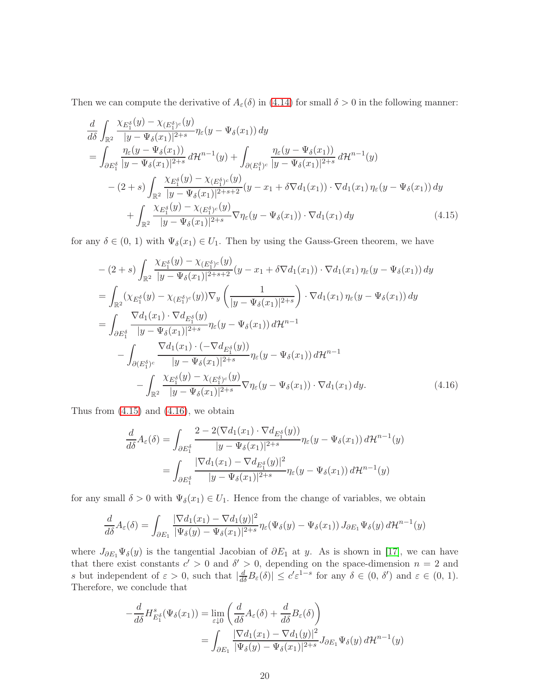Then we can compute the derivative of  $A_{\varepsilon}(\delta)$  in [\(4.14\)](#page-18-2) for small  $\delta > 0$  in the following manner:

$$
\frac{d}{d\delta} \int_{\mathbb{R}^2} \frac{\chi_{E_1^{\delta}}(y) - \chi_{(E_1^{\delta})^c}(y)}{|y - \Psi_{\delta}(x_1)|^{2+s}} \eta_{\varepsilon}(y - \Psi_{\delta}(x_1)) dy \n= \int_{\partial E_1^{\delta}} \frac{\eta_{\varepsilon}(y - \Psi_{\delta}(x_1))}{|y - \Psi_{\delta}(x_1)|^{2+s}} d\mathcal{H}^{n-1}(y) + \int_{\partial (E_1^{\delta})^c} \frac{\eta_{\varepsilon}(y - \Psi_{\delta}(x_1))}{|y - \Psi_{\delta}(x_1)|^{2+s}} d\mathcal{H}^{n-1}(y) \n- (2+s) \int_{\mathbb{R}^2} \frac{\chi_{E_1^{\delta}}(y) - \chi_{(E_1^{\delta})^c}(y)}{|y - \Psi_{\delta}(x_1)|^{2+s+2}} (y - x_1 + \delta \nabla d_1(x_1)) \cdot \nabla d_1(x_1) \eta_{\varepsilon}(y - \Psi_{\delta}(x_1)) dy \n+ \int_{\mathbb{R}^2} \frac{\chi_{E_1^{\delta}}(y) - \chi_{(E_1^{\delta})^c}(y)}{|y - \Psi_{\delta}(x_1)|^{2+s}} \nabla \eta_{\varepsilon}(y - \Psi_{\delta}(x_1)) \cdot \nabla d_1(x_1) dy \n\tag{4.15}
$$

for any  $\delta \in (0, 1)$  with  $\Psi_{\delta}(x_1) \in U_1$ . Then by using the Gauss-Green theorem, we have

<span id="page-19-0"></span>
$$
-(2+s)\int_{\mathbb{R}^2} \frac{\chi_{E_1^{\delta}}(y) - \chi_{(E_1^{\delta})^c}(y)}{|y - \Psi_{\delta}(x_1)|^{2+s+2}} (y - x_1 + \delta \nabla d_1(x_1)) \cdot \nabla d_1(x_1) \eta_{\varepsilon}(y - \Psi_{\delta}(x_1)) dy
$$
  
\n
$$
= \int_{\mathbb{R}^2} (\chi_{E_1^{\delta}}(y) - \chi_{(E_1^{\delta})^c}(y)) \nabla_y \left( \frac{1}{|y - \Psi_{\delta}(x_1)|^{2+s}} \right) \cdot \nabla d_1(x_1) \eta_{\varepsilon}(y - \Psi_{\delta}(x_1)) dy
$$
  
\n
$$
= \int_{\partial E_1^{\delta}} \frac{\nabla d_1(x_1) \cdot \nabla d_{E_1^{\delta}}(y)}{|y - \Psi_{\delta}(x_1)|^{2+s}} \eta_{\varepsilon}(y - \Psi_{\delta}(x_1)) d\mathcal{H}^{n-1}
$$
  
\n
$$
- \int_{\partial (E_1^{\delta})^c} \frac{\nabla d_1(x_1) \cdot (-\nabla d_{E_1^{\delta}}(y))}{|y - \Psi_{\delta}(x_1)|^{2+s}} \eta_{\varepsilon}(y - \Psi_{\delta}(x_1)) d\mathcal{H}^{n-1}
$$
  
\n
$$
- \int_{\mathbb{R}^2} \frac{\chi_{E_1^{\delta}}(y) - \chi_{(E_1^{\delta})^c}(y)}{|y - \Psi_{\delta}(x_1)|^{2+s}} \nabla \eta_{\varepsilon}(y - \Psi_{\delta}(x_1)) \cdot \nabla d_1(x_1) dy.
$$
 (4.16)

Thus from  $(4.15)$  and  $(4.16)$ , we obtain

<span id="page-19-1"></span>
$$
\frac{d}{d\delta}A_{\varepsilon}(\delta) = \int_{\partial E_1^{\delta}} \frac{2 - 2(\nabla d_1(x_1) \cdot \nabla d_{E_1^{\delta}}(y))}{|y - \Psi_{\delta}(x_1)|^{2+s}} \eta_{\varepsilon}(y - \Psi_{\delta}(x_1)) d\mathcal{H}^{n-1}(y)
$$
\n
$$
= \int_{\partial E_1^{\delta}} \frac{|\nabla d_1(x_1) - \nabla d_{E_1^{\delta}}(y)|^2}{|y - \Psi_{\delta}(x_1)|^{2+s}} \eta_{\varepsilon}(y - \Psi_{\delta}(x_1)) d\mathcal{H}^{n-1}(y)
$$

for any small  $\delta > 0$  with  $\Psi_{\delta}(x_1) \in U_1$ . Hence from the change of variables, we obtain

$$
\frac{d}{d\delta}A_{\varepsilon}(\delta) = \int_{\partial E_1} \frac{|\nabla d_1(x_1) - \nabla d_1(y)|^2}{|\Psi_{\delta}(y) - \Psi_{\delta}(x_1)|^{2+s}} \eta_{\varepsilon}(\Psi_{\delta}(y) - \Psi_{\delta}(x_1)) J_{\partial E_1} \Psi_{\delta}(y) d\mathcal{H}^{n-1}(y)
$$

where  $J_{\partial E_1}\Psi_\delta(y)$  is the tangential Jacobian of  $\partial E_1$  at y. As is shown in [\[17\]](#page-23-6), we can have that there exist constants  $c' > 0$  and  $\delta' > 0$ , depending on the space-dimension  $n = 2$  and s but independent of  $\varepsilon > 0$ , such that  $|\frac{d}{d\delta}B_{\varepsilon}(\delta)| \leq c' \varepsilon^{1-s}$  for any  $\delta \in (0, \delta')$  and  $\varepsilon \in (0, 1)$ . Therefore, we conclude that

$$
-\frac{d}{d\delta}H_{E_1^{\delta}}^s(\Psi_{\delta}(x_1)) = \lim_{\varepsilon \downarrow 0} \left( \frac{d}{d\delta}A_{\varepsilon}(\delta) + \frac{d}{d\delta}B_{\varepsilon}(\delta) \right)
$$
  
= 
$$
\int_{\partial E_1} \frac{|\nabla d_1(x_1) - \nabla d_1(y)|^2}{|\Psi_{\delta}(y) - \Psi_{\delta}(x_1)|^{2+s}} J_{\partial E_1} \Psi_{\delta}(y) d\mathcal{H}^{n-1}(y)
$$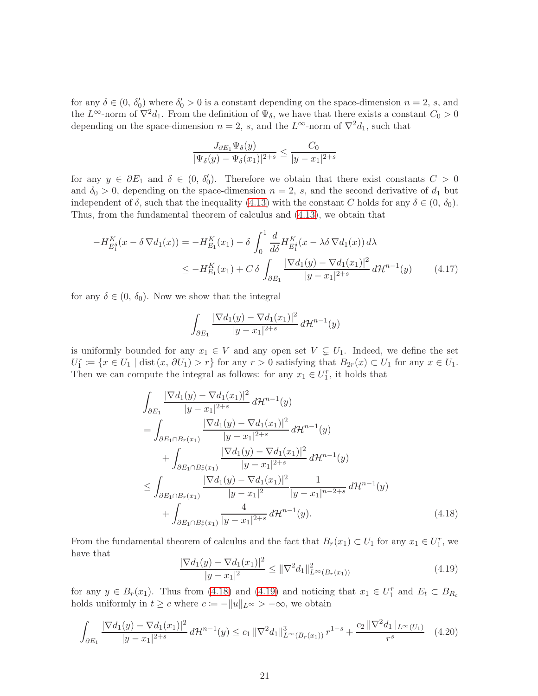for any  $\delta \in (0, \delta'_0)$  where  $\delta'_0 > 0$  is a constant depending on the space-dimension  $n = 2$ , s, and the L<sup>∞</sup>-norm of  $\nabla^2 d_1$ . From the definition of  $\Psi_\delta$ , we have that there exists a constant  $C_0 > 0$ depending on the space-dimension  $n = 2$ , s, and the  $L^{\infty}$ -norm of  $\nabla^2 d_1$ , such that

$$
\frac{J_{\partial E_1} \Psi_\delta(y)}{|\Psi_\delta(y) - \Psi_\delta(x_1)|^{2+s}} \le \frac{C_0}{|y - x_1|^{2+s}}
$$

for any  $y \in \partial E_1$  and  $\delta \in (0, \delta'_0)$ . Therefore we obtain that there exist constants  $C > 0$ and  $\delta_0 > 0$ , depending on the space-dimension  $n = 2$ , s, and the second derivative of  $d_1$  but independent of  $\delta$ , such that the inequality [\(4.13\)](#page-18-3) with the constant C holds for any  $\delta \in (0, \delta_0)$ . Thus, from the fundamental theorem of calculus and [\(4.13\)](#page-18-3), we obtain that

$$
-H_{E_1^{\delta}}^K(x - \delta \nabla d_1(x)) = -H_{E_1}^K(x_1) - \delta \int_0^1 \frac{d}{d\delta} H_{E_1^{\delta}}^K(x - \lambda \delta \nabla d_1(x)) d\lambda
$$
  

$$
\leq -H_{E_1}^K(x_1) + C \delta \int_{\partial E_1} \frac{|\nabla d_1(y) - \nabla d_1(x_1)|^2}{|y - x_1|^{2+s}} d\mathcal{H}^{n-1}(y) \tag{4.17}
$$

for any  $\delta \in (0, \delta_0)$ . Now we show that the integral

<span id="page-20-2"></span>
$$
\int_{\partial E_1} \frac{|\nabla d_1(y) - \nabla d_1(x_1)|^2}{|y - x_1|^{2+s}} d\mathcal{H}^{n-1}(y)
$$

is uniformly bounded for any  $x_1 \in V$  and any open set  $V \subsetneq U_1$ . Indeed, we define the set  $U_1^r \coloneqq \{x \in U_1 \mid \text{dist}(x, \partial U_1) > r\}$  for any  $r > 0$  satisfying that  $B_{2r}(x) \subset U_1$  for any  $x \in U_1$ . Then we can compute the integral as follows: for any  $x_1 \in U_1^r$ , it holds that

$$
\int_{\partial E_1} \frac{|\nabla d_1(y) - \nabla d_1(x_1)|^2}{|y - x_1|^{2+s}} d\mathcal{H}^{n-1}(y)
$$
\n
$$
= \int_{\partial E_1 \cap B_r(x_1)} \frac{|\nabla d_1(y) - \nabla d_1(x_1)|^2}{|y - x_1|^{2+s}} d\mathcal{H}^{n-1}(y)
$$
\n
$$
+ \int_{\partial E_1 \cap B_r(x_1)} \frac{|\nabla d_1(y) - \nabla d_1(x_1)|^2}{|y - x_1|^{2+s}} d\mathcal{H}^{n-1}(y)
$$
\n
$$
\leq \int_{\partial E_1 \cap B_r(x_1)} \frac{|\nabla d_1(y) - \nabla d_1(x_1)|^2}{|y - x_1|^2} \frac{1}{|y - x_1|^{n-2+s}} d\mathcal{H}^{n-1}(y)
$$
\n
$$
+ \int_{\partial E_1 \cap B_r(x_1)} \frac{4}{|y - x_1|^{2+s}} d\mathcal{H}^{n-1}(y).
$$
\n(4.18)

From the fundamental theorem of calculus and the fact that  $B_r(x_1) \subset U_1$  for any  $x_1 \in U_1^r$ , we have that

<span id="page-20-3"></span><span id="page-20-1"></span><span id="page-20-0"></span>
$$
\frac{|\nabla d_1(y) - \nabla d_1(x_1)|^2}{|y - x_1|^2} \le ||\nabla^2 d_1||_{L^\infty(B_r(x_1))}^2
$$
\n(4.19)

for any  $y \in B_r(x_1)$ . Thus from [\(4.18\)](#page-20-0) and [\(4.19\)](#page-20-1) and noticing that  $x_1 \in U_1^r$  and  $E_t \subset B_{R_c}$ holds uniformly in  $t \geq c$  where  $c := -||u||_{L^{\infty}} > -\infty$ , we obtain

$$
\int_{\partial E_1} \frac{|\nabla d_1(y) - \nabla d_1(x_1)|^2}{|y - x_1|^{2+s}} d\mathcal{H}^{n-1}(y) \le c_1 \|\nabla^2 d_1\|_{L^\infty(B_r(x_1))}^3 r^{1-s} + \frac{c_2 \|\nabla^2 d_1\|_{L^\infty(U_1)}}{r^s} \tag{4.20}
$$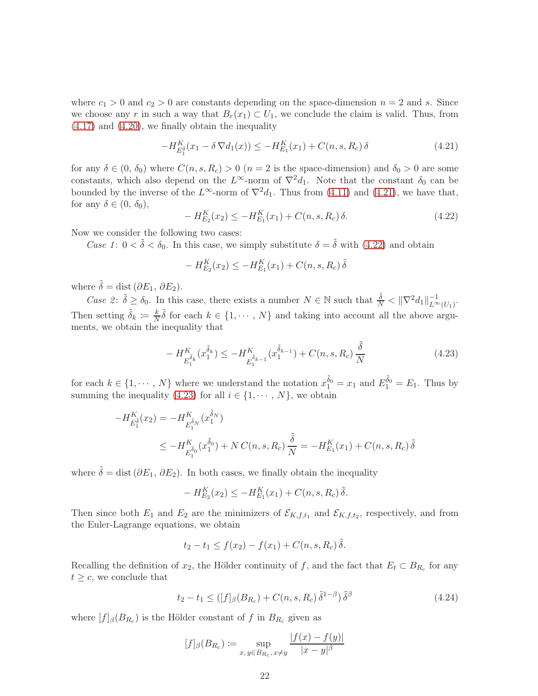where  $c_1 > 0$  and  $c_2 > 0$  are constants depending on the space-dimension  $n = 2$  and s. Since we choose any r in such a way that  $B_r(x_1) \subset U_1$ , we conclude the claim is valid. Thus, from [\(4.17\)](#page-20-2) and [\(4.20\)](#page-20-3), we finally obtain the inequality

$$
-H_{E_1^{\delta}}^K(x_1 - \delta \nabla d_1(x)) \le -H_{E_1}^K(x_1) + C(n, s, R_c) \delta \tag{4.21}
$$

for any  $\delta \in (0, \delta_0)$  where  $C(n, s, R_c) > 0$   $(n = 2$  is the space-dimension) and  $\delta_0 > 0$  are some constants, which also depend on the  $L^{\infty}$ -norm of  $\nabla^2 d_1$ . Note that the constant  $\delta_0$  can be bounded by the inverse of the  $L^{\infty}$ -norm of  $\nabla^2 d_1$ . Thus from [\(4.11\)](#page-18-4) and [\(4.21\)](#page-21-0), we have that, for any  $\delta \in (0, \delta_0)$ ,

<span id="page-21-1"></span><span id="page-21-0"></span>
$$
-H_{E_2}^{K}(x_2) \le -H_{E_1}^{K}(x_1) + C(n, s, R_c) \delta.
$$
\n(4.22)

Now we consider the following two cases:

Case 1:  $0 < \tilde{\delta} < \delta_0$ . In this case, we simply substitute  $\delta = \tilde{\delta}$  with [\(4.22\)](#page-21-1) and obtain

$$
- H_{E_2}^K(x_2) \le -H_{E_1}^K(x_1) + C(n, s, R_c) \tilde{\delta}
$$

where  $\tilde{\delta} = \text{dist}(\partial E_1, \partial E_2)$ .

Case 2:  $\tilde{\delta} \ge \delta_0$ . In this case, there exists a number  $N \in \mathbb{N}$  such that  $\frac{\tilde{\delta}}{N} < ||\nabla^2 d_1||_{L^{\infty}(U_1)}^{-1}$ . Then setting  $\tilde{\delta}_k \coloneqq \frac{k}{N}$  $\frac{k}{N}\tilde{\delta}$  for each  $k \in \{1, \cdots, N\}$  and taking into account all the above arguments, we obtain the inequality that

<span id="page-21-2"></span>
$$
-H_{E_1^{\tilde{\delta}_k}}^K(x_1^{\tilde{\delta}_k}) \le -H_{E_1^{\tilde{\delta}_{k-1}}}^K(x_1^{\tilde{\delta}_{k-1}}) + C(n, s, R_c) \frac{\tilde{\delta}}{N}
$$
\n(4.23)

for each  $k \in \{1, \dots, N\}$  where we understand the notation  $x_1^{\tilde{\delta}_0} = x_1$  and  $E_1^{\tilde{\delta}_0} = E_1$ . Thus by summing the inequality [\(4.23\)](#page-21-2) for all  $i \in \{1, \dots, N\}$ , we obtain

$$
-H_{E_1^{\tilde{\delta}}}^{K}(x_2) = -H_{E_1^{\tilde{\delta}_N}}^{K}(x_1^{\tilde{\delta}_N})
$$
  

$$
\leq -H_{E_1^{\tilde{\delta}_0}}^{K}(x_1^{\tilde{\delta}_0}) + NC(n, s, R_c)\frac{\tilde{\delta}}{N} = -H_{E_1}^{K}(x_1) + C(n, s, R_c)\tilde{\delta}
$$

where  $\tilde{\delta} = \text{dist}(\partial E_1, \partial E_2)$ . In both cases, we finally obtain the inequality

$$
-H_{E_2}^K(x_2) \le -H_{E_1}^K(x_1) + C(n, s, R_c) \,\tilde{\delta}.
$$

Then since both  $E_1$  and  $E_2$  are the minimizers of  $\mathcal{E}_{K,f,t_1}$  and  $\mathcal{E}_{K,f,t_2}$ , respectively, and from the Euler-Lagrange equations, we obtain

$$
t_2 - t_1 \le f(x_2) - f(x_1) + C(n, s, R_c) \,\tilde{\delta}.
$$

Recalling the definition of  $x_2$ , the Hölder continuity of f, and the fact that  $E_t \subset B_{R_c}$  for any  $t \geq c$ , we conclude that

<span id="page-21-3"></span>
$$
t_2 - t_1 \leq \left( [f]_\beta (B_{R_c}) + C(n, s, R_c) \, \tilde{\delta}^{1-\beta} \right) \tilde{\delta}^\beta \tag{4.24}
$$

where  $[f]_{\beta}(B_{R_c})$  is the Hölder constant of f in  $B_{R_c}$  given as

$$
[f]_{\beta}(B_{R_c}) := \sup_{x, y \in B_{R_c}, x \neq y} \frac{|f(x) - f(y)|}{|x - y|^{\beta}}
$$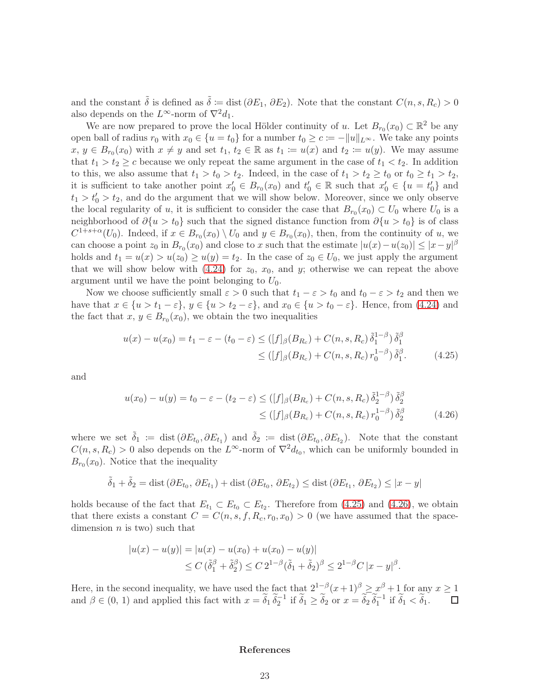and the constant  $\tilde{\delta}$  is defined as  $\tilde{\delta} := \text{dist}(\partial E_1, \partial E_2)$ . Note that the constant  $C(n, s, R_c) > 0$ also depends on the  $L^{\infty}$ -norm of  $\nabla^2 d_1$ .

We are now prepared to prove the local Hölder continuity of u. Let  $B_{r_0}(x_0) \subset \mathbb{R}^2$  be any open ball of radius  $r_0$  with  $x_0 \in \{u = t_0\}$  for a number  $t_0 \geq c := -||u||_{L^{\infty}}$ . We take any points  $x, y \in B_{r_0}(x_0)$  with  $x \neq y$  and set  $t_1, t_2 \in \mathbb{R}$  as  $t_1 := u(x)$  and  $t_2 := u(y)$ . We may assume that  $t_1 > t_2 \geq c$  because we only repeat the same argument in the case of  $t_1 < t_2$ . In addition to this, we also assume that  $t_1 > t_0 > t_2$ . Indeed, in the case of  $t_1 > t_2 \ge t_0$  or  $t_0 \ge t_1 > t_2$ , it is sufficient to take another point  $x'_0 \in B_{r_0}(x_0)$  and  $t'_0 \in \mathbb{R}$  such that  $x'_0 \in \{u = t'_0\}$  and  $t_1 > t'_0 > t_2$ , and do the argument that we will show below. Moreover, since we only observe the local regularity of u, it is sufficient to consider the case that  $B_{r_0}(x_0) \subset U_0$  where  $U_0$  is a neighborhood of  $\partial \{u > t_0\}$  such that the signed distance function from  $\partial \{u > t_0\}$  is of class  $C^{1+s+\alpha}(U_0)$ . Indeed, if  $x \in B_{r_0}(x_0) \setminus U_0$  and  $y \in B_{r_0}(x_0)$ , then, from the continuity of u, we can choose a point  $z_0$  in  $B_{r_0}(x_0)$  and close to x such that the estimate  $|u(x) - u(z_0)| \leq |x - y|^{\beta}$ holds and  $t_1 = u(x) > u(z_0) \ge u(y) = t_2$ . In the case of  $z_0 \in U_0$ , we just apply the argument that we will show below with  $(4.24)$  for  $z_0$ ,  $x_0$ , and y; otherwise we can repeat the above argument until we have the point belonging to  $U_0$ .

Now we choose sufficiently small  $\varepsilon > 0$  such that  $t_1 - \varepsilon > t_0$  and  $t_0 - \varepsilon > t_2$  and then we have that  $x \in \{u > t_1 - \varepsilon\}$ ,  $y \in \{u > t_2 - \varepsilon\}$ , and  $x_0 \in \{u > t_0 - \varepsilon\}$ . Hence, from [\(4.24\)](#page-21-3) and the fact that  $x, y \in B_{r_0}(x_0)$ , we obtain the two inequalities

<span id="page-22-0"></span>
$$
u(x) - u(x_0) = t_1 - \varepsilon - (t_0 - \varepsilon) \le ( [f]_\beta (B_{R_c}) + C(n, s, R_c) \, \tilde{\delta}_1^{1-\beta}) \, \tilde{\delta}_1^{\beta}
$$
  
\$\leq ( [f]\_\beta (B\_{R\_c}) + C(n, s, R\_c) \, r\_0^{1-\beta}) \, \tilde{\delta}\_1^{\beta} . \tag{4.25}

and

$$
u(x_0) - u(y) = t_0 - \varepsilon - (t_2 - \varepsilon) \le ( [f]_\beta (B_{R_c}) + C(n, s, R_c) \, \tilde{\delta}_2^{1-\beta} ) \, \tilde{\delta}_2^{\beta}
$$
  
\$\leq ( [f]\_\beta (B\_{R\_c}) + C(n, s, R\_c) \, r\_0^{1-\beta} ) \, \tilde{\delta}\_2^{\beta}\$ (4.26)

where we set  $\tilde{\delta}_1 := \text{dist}(\partial E_{t_0}, \partial E_{t_1})$  and  $\tilde{\delta}_2 := \text{dist}(\partial E_{t_0}, \partial E_{t_2})$ . Note that the constant  $C(n, s, R_c) > 0$  also depends on the  $L^{\infty}$ -norm of  $\nabla^2 d_{t_0}$ , which can be uniformly bounded in  $B_{r_0}(x_0)$ . Notice that the inequality

$$
\tilde{\delta}_1 + \tilde{\delta}_2 = \text{dist}(\partial E_{t_0}, \partial E_{t_1}) + \text{dist}(\partial E_{t_0}, \partial E_{t_2}) \le \text{dist}(\partial E_{t_1}, \partial E_{t_2}) \le |x - y|
$$

holds because of the fact that  $E_{t_1} \subset E_{t_0} \subset E_{t_2}$ . Therefore from [\(4.25\)](#page-22-0) and [\(4.26\)](#page-22-1), we obtain that there exists a constant  $C = C(n, s, f, R_c, r_0, x_0) > 0$  (we have assumed that the spacedimension  $n$  is two) such that

$$
|u(x) - u(y)| = |u(x) - u(x_0) + u(x_0) - u(y)|
$$
  
\n
$$
\leq C \left(\tilde{\delta}_1^{\beta} + \tilde{\delta}_2^{\beta}\right) \leq C 2^{1-\beta} \left(\tilde{\delta}_1 + \tilde{\delta}_2\right)^{\beta} \leq 2^{1-\beta} C |x - y|^{\beta}.
$$

Here, in the second inequality, we have used the fact that  $2^{1-\beta}(x+1)^{\beta} \geq x^{\beta}+1$  for any  $x \geq 1$ and  $\beta \in (0, 1)$  and applied this fact with  $x = \tilde{\delta}_1 \tilde{\delta}_2^{-1}$  if  $\tilde{\delta}_1 \ge \tilde{\delta}_2$  or  $x = \tilde{\delta}_2 \tilde{\delta}_1^{-1}$  if  $\tilde{\delta}_1 < \tilde{\delta}_1$ .  $\Box$ 

#### <span id="page-22-1"></span>References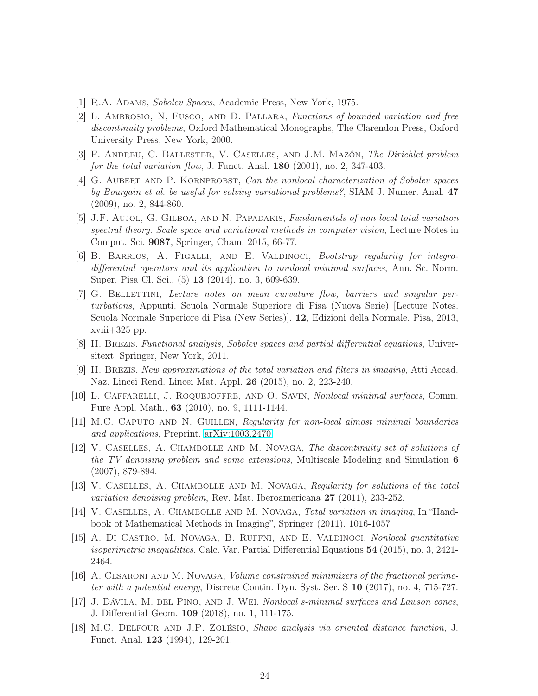- <span id="page-23-11"></span>[1] R.A. Adams, Sobolev Spaces, Academic Press, New York, 1975.
- [2] L. Ambrosio, N, Fusco, and D. Pallara, Functions of bounded variation and free discontinuity problems, Oxford Mathematical Monographs, The Clarendon Press, Oxford University Press, New York, 2000.
- <span id="page-23-10"></span><span id="page-23-5"></span>[3] F. Andreu, C. Ballester, V. Caselles, and J.M. Mazón, The Dirichlet problem for the total variation flow, J. Funct. Anal.  $180$  (2001), no. 2, 347-403.
- [4] G. Aubert and P. Kornprobst, Can the nonlocal characterization of Sobolev spaces by Bourgain et al. be useful for solving variational problems?, SIAM J. Numer. Anal. 47 (2009), no. 2, 844-860.
- <span id="page-23-8"></span>[5] J.F. AUJOL, G. GILBOA, AND N. PAPADAKIS, Fundamentals of non-local total variation spectral theory. Scale space and variational methods in computer vision, Lecture Notes in Comput. Sci. 9087, Springer, Cham, 2015, 66-77.
- <span id="page-23-14"></span>[6] B. Barrios, A. Figalli, and E. Valdinoci, Bootstrap regularity for integrodifferential operators and its application to nonlocal minimal surfaces, Ann. Sc. Norm. Super. Pisa Cl. Sci., (5) 13 (2014), no. 3, 609-639.
- <span id="page-23-16"></span>[7] G. Bellettini, Lecture notes on mean curvature flow, barriers and singular perturbations, Appunti. Scuola Normale Superiore di Pisa (Nuova Serie) [Lecture Notes. Scuola Normale Superiore di Pisa (New Series)], 12, Edizioni della Normale, Pisa, 2013, xviii $+325$  pp.
- <span id="page-23-2"></span><span id="page-23-0"></span>[8] H. Brezis, Functional analysis, Sobolev spaces and partial differential equations, Universitext. Springer, New York, 2011.
- <span id="page-23-7"></span>[9] H. Brezis, New approximations of the total variation and filters in imaging, Atti Accad. Naz. Lincei Rend. Lincei Mat. Appl. 26 (2015), no. 2, 223-240.
- <span id="page-23-13"></span>[10] L. Caffarelli, J. Roquejoffre, and O. Savin, Nonlocal minimal surfaces, Comm. Pure Appl. Math., 63 (2010), no. 9, 1111-1144.
- <span id="page-23-3"></span>[11] M.C. Caputo and N. Guillen, Regularity for non-local almost minimal boundaries and applications, Preprint, [arXiv:1003.2470](http://arxiv.org/abs/1003.2470)
- [12] V. Caselles, A. Chambolle and M. Novaga, The discontinuity set of solutions of the TV denoising problem and some extensions, Multiscale Modeling and Simulation 6 (2007), 879-894.
- <span id="page-23-4"></span>[13] V. Caselles, A. Chambolle and M. Novaga, Regularity for solutions of the total variation denoising problem, Rev. Mat. Iberoamericana 27 (2011), 233-252.
- <span id="page-23-1"></span>[14] V. CASELLES, A. CHAMBOLLE AND M. NOVAGA, Total variation in imaging, In "Handbook of Mathematical Methods in Imaging", Springer (2011), 1016-1057
- <span id="page-23-12"></span>[15] A. Di Castro, M. Novaga, B. Ruffni, and E. Valdinoci, Nonlocal quantitative isoperimetric inequalities, Calc. Var. Partial Differential Equations 54 (2015), no. 3, 2421-2464.
- <span id="page-23-9"></span>[16] A. Cesaroni and M. Novaga, Volume constrained minimizers of the fractional perimeter with a potential energy, Discrete Contin. Dyn. Syst. Ser. S  $10$  (2017), no. 4, 715-727.
- <span id="page-23-6"></span>[17] J. Dávilla, M. del Pino, and J. Wei, *Nonlocal s-minimal surfaces and Lawson cones*, J. Differential Geom. 109 (2018), no. 1, 111-175.
- <span id="page-23-15"></span>[18] M.C. Delfour and J.P. Zolésio, Shape analysis via oriented distance function, J. Funct. Anal. 123 (1994), 129-201.